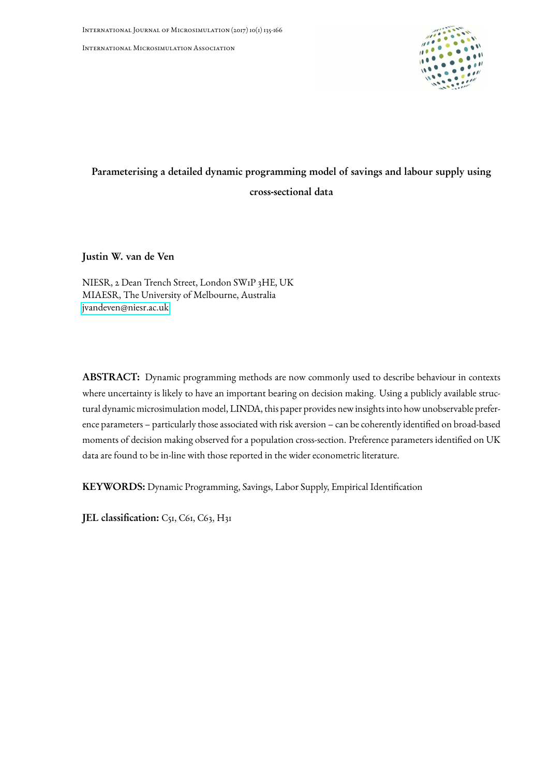International Microsimulation Association



# Parameterising a detailed dynamic programming model of savings and labour supply using cross-sectional data

Justin W. van de Ven

NIESR, 2 Dean Trench Street, London SW1P 3HE, UK MIAESR, The University of Melbourne, Australia [jvandeven@niesr.ac.uk](mailto:jvandeven@niesr.ac.uk)

ABSTRACT: Dynamic programming methods are now commonly used to describe behaviour in contexts where uncertainty is likely to have an important bearing on decision making. Using a publicly available structural dynamic microsimulation model, LINDA, this paper provides new insights into how unobservable preference parameters – particularly those associated with risk aversion – can be coherently identified on broad-based moments of decision making observed for a population cross-section. Preference parameters identified on UK data are found to be in-line with those reported in the wider econometric literature.

KEYWORDS: Dynamic Programming, Savings, Labor Supply, Empirical Identification

JEL classification: C51, C61, C63, H31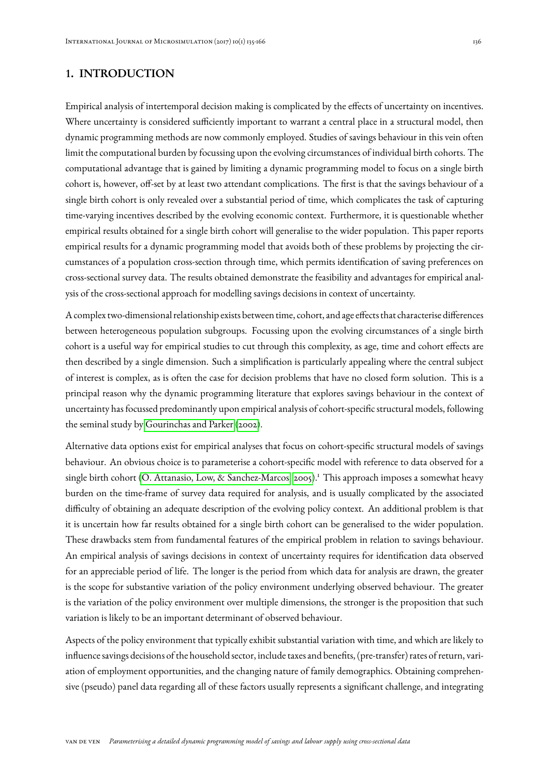# 1. INTRODUCTION

Empirical analysis of intertemporal decision making is complicated by the effects of uncertainty on incentives. Where uncertainty is considered sufficiently important to warrant a central place in a structural model, then dynamic programming methods are now commonly employed. Studies of savings behaviour in this vein often limit the computational burden by focussing upon the evolving circumstances of individual birth cohorts. The computational advantage that is gained by limiting a dynamic programming model to focus on a single birth cohort is, however, off-set by at least two attendant complications. The first is that the savings behaviour of a single birth cohort is only revealed over a substantial period of time, which complicates the task of capturing time-varying incentives described by the evolving economic context. Furthermore, it is questionable whether empirical results obtained for a single birth cohort will generalise to the wider population. This paper reports empirical results for a dynamic programming model that avoids both of these problems by projecting the circumstances of a population cross-section through time, which permits identification of saving preferences on cross-sectional survey data. The results obtained demonstrate the feasibility and advantages for empirical analysis of the cross-sectional approach for modelling savings decisions in context of uncertainty.

A complex two-dimensional relationship exists between time, cohort, and age effects that characterise differences between heterogeneous population subgroups. Focussing upon the evolving circumstances of a single birth cohort is a useful way for empirical studies to cut through this complexity, as age, time and cohort effects are then described by a single dimension. Such a simplification is particularly appealing where the central subject of interest is complex, as is often the case for decision problems that have no closed form solution. This is a principal reason why the dynamic programming literature that explores savings behaviour in the context of uncertainty has focussed predominantly upon empirical analysis of cohort-specific structural models, following the seminal study by [Gourinchas and Parker](#page-29-0) [\(2002\)](#page-29-0).

Alternative data options exist for empirical analyses that focus on cohort-specific structural models of savings behaviour. An obvious choice is to parameterise a cohort-specific model with reference to data observed for a single birth cohort [\(O. Attanasio, Low, & Sanchez-Marcos, 2005\)](#page-28-0).<sup>1</sup> This approach imposes a somewhat heavy burden on the time-frame of survey data required for analysis, and is usually complicated by the associated difficulty of obtaining an adequate description of the evolving policy context. An additional problem is that it is uncertain how far results obtained for a single birth cohort can be generalised to the wider population. These drawbacks stem from fundamental features of the empirical problem in relation to savings behaviour. An empirical analysis of savings decisions in context of uncertainty requires for identification data observed for an appreciable period of life. The longer is the period from which data for analysis are drawn, the greater is the scope for substantive variation of the policy environment underlying observed behaviour. The greater is the variation of the policy environment over multiple dimensions, the stronger is the proposition that such variation is likely to be an important determinant of observed behaviour.

Aspects of the policy environment that typically exhibit substantial variation with time, and which are likely to influence savings decisions of the household sector, include taxes and benefits, (pre-transfer) rates of return, variation of employment opportunities, and the changing nature of family demographics. Obtaining comprehensive (pseudo) panel data regarding all of these factors usually represents a significant challenge, and integrating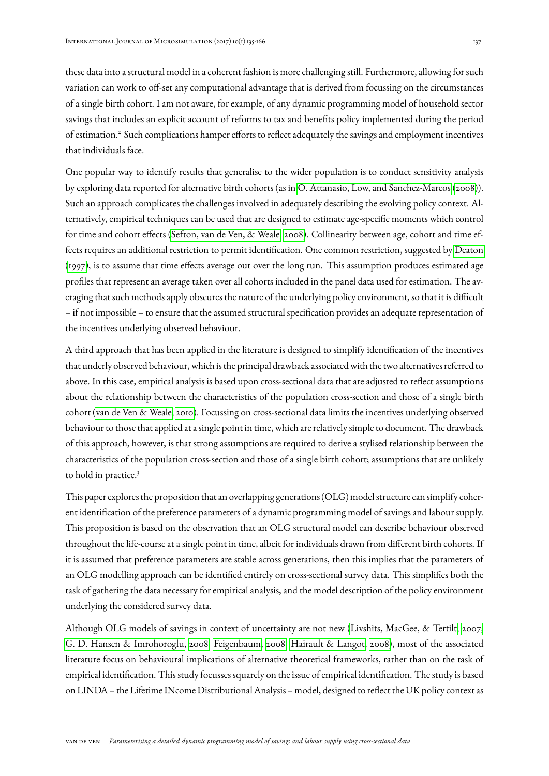these data into a structural model in a coherent fashion is more challenging still. Furthermore, allowing for such variation can work to off-set any computational advantage that is derived from focussing on the circumstances of a single birth cohort. I am not aware, for example, of any dynamic programming model of household sector savings that includes an explicit account of reforms to tax and benefits policy implemented during the period of estimation.<sup>2</sup> Such complications hamper efforts to reflect adequately the savings and employment incentives that individuals face.

One popular way to identify results that generalise to the wider population is to conduct sensitivity analysis by exploring data reported for alternative birth cohorts (as in [O. Attanasio, Low, and Sanchez-Marcos](#page-28-1) [\(2008\)](#page-28-1)). Such an approach complicates the challenges involved in adequately describing the evolving policy context. Alternatively, empirical techniques can be used that are designed to estimate age-specific moments which control for time and cohort effects [\(Sefton, van de Ven, & Weale, 2008\)](#page-30-0). Collinearity between age, cohort and time effects requires an additional restriction to permit identification. One common restriction, suggested by [Deaton](#page-28-2) [\(1997\)](#page-28-2), is to assume that time effects average out over the long run. This assumption produces estimated age profiles that represent an average taken over all cohorts included in the panel data used for estimation. The averaging that such methods apply obscures the nature of the underlying policy environment, so that it is difficult – if not impossible – to ensure that the assumed structural specification provides an adequate representation of the incentives underlying observed behaviour.

A third approach that has been applied in the literature is designed to simplify identification of the incentives that underly observed behaviour, which is the principal drawback associated with the two alternatives referred to above. In this case, empirical analysis is based upon cross-sectional data that are adjusted to reflect assumptions about the relationship between the characteristics of the population cross-section and those of a single birth cohort [\(van de Ven & Weale, 2010\)](#page-30-1). Focussing on cross-sectional data limits the incentives underlying observed behaviour to those that applied at a single point in time, which are relatively simple to document. The drawback of this approach, however, is that strong assumptions are required to derive a stylised relationship between the characteristics of the population cross-section and those of a single birth cohort; assumptions that are unlikely to hold in practice.<sup>3</sup>

This paper explores the proposition that an overlapping generations (OLG) model structure can simplify coherent identification of the preference parameters of a dynamic programming model of savings and labour supply. This proposition is based on the observation that an OLG structural model can describe behaviour observed throughout the life-course at a single point in time, albeit for individuals drawn from different birth cohorts. If it is assumed that preference parameters are stable across generations, then this implies that the parameters of an OLG modelling approach can be identified entirely on cross-sectional survey data. This simplifies both the task of gathering the data necessary for empirical analysis, and the model description of the policy environment underlying the considered survey data.

Although OLG models of savings in context of uncertainty are not new [\(Livshits, MacGee, & Tertilt, 2007;](#page-30-2) [G. D. Hansen & Imrohoroglu, 2008;](#page-29-1) [Feigenbaum, 2008;](#page-28-3) [Hairault & Langot, 2008\)](#page-29-2), most of the associated literature focus on behavioural implications of alternative theoretical frameworks, rather than on the task of empirical identification. This study focusses squarely on the issue of empirical identification. The study is based on LINDA – the Lifetime INcome Distributional Analysis – model, designed to reflect the UK policy context as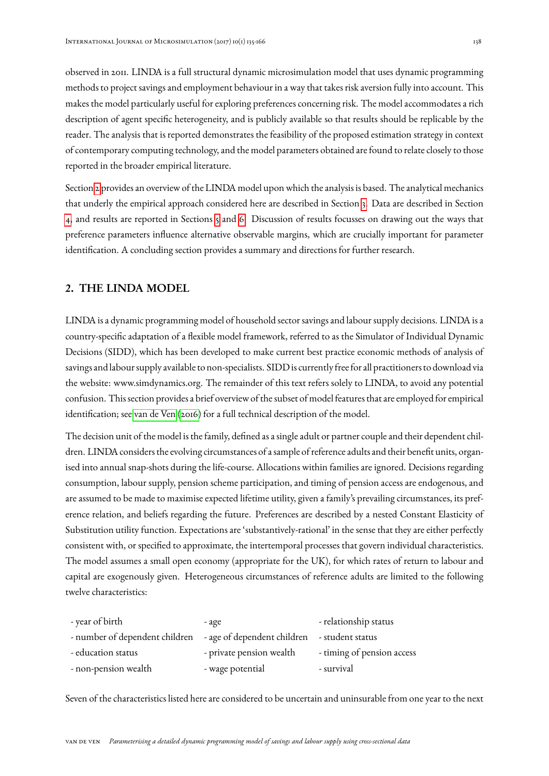observed in 2011. LINDA is a full structural dynamic microsimulation model that uses dynamic programming methods to project savings and employment behaviour in a way that takes risk aversion fully into account. This makes the model particularly useful for exploring preferences concerning risk. The model accommodates a rich description of agent specific heterogeneity, and is publicly available so that results should be replicable by the reader. The analysis that is reported demonstrates the feasibility of the proposed estimation strategy in context of contemporary computing technology, and the model parameters obtained are found to relate closely to those reported in the broader empirical literature.

Section [2](#page-3-0) provides an overview of the LINDA model upon which the analysis is based. The analytical mechanics that underly the empirical approach considered here are described in Section [3.](#page-10-0) Data are described in Section [4,](#page-16-0) and results are reported in Sections [5](#page-20-0) and [6.](#page-21-0) Discussion of results focusses on drawing out the ways that preference parameters influence alternative observable margins, which are crucially important for parameter identification. A concluding section provides a summary and directions for further research.

# <span id="page-3-0"></span>2. THE LINDA MODEL

LINDA is a dynamic programming model of household sector savings and labour supply decisions. LINDA is a country-specific adaptation of a flexible model framework, referred to as the Simulator of Individual Dynamic Decisions (SIDD), which has been developed to make current best practice economic methods of analysis of savings and labour supply available to non-specialists. SIDD is currently free for all practitioners to download via the website: www.simdynamics.org. The remainder of this text refers solely to LINDA, to avoid any potential confusion. This section provides a brief overview of the subset of model features that are employed for empirical identification; see [van de Ven](#page-30-3) [\(2016\)](#page-30-3) for a full technical description of the model.

The decision unit of the model is the family, defined as a single adult or partner couple and their dependent children. LINDA considers the evolving circumstances of a sample of reference adults and their benefit units, organised into annual snap-shots during the life-course. Allocations within families are ignored. Decisions regarding consumption, labour supply, pension scheme participation, and timing of pension access are endogenous, and are assumed to be made to maximise expected lifetime utility, given a family's prevailing circumstances, its preference relation, and beliefs regarding the future. Preferences are described by a nested Constant Elasticity of Substitution utility function. Expectations are 'substantively-rational' in the sense that they are either perfectly consistent with, or specified to approximate, the intertemporal processes that govern individual characteristics. The model assumes a small open economy (appropriate for the UK), for which rates of return to labour and capital are exogenously given. Heterogeneous circumstances of reference adults are limited to the following twelve characteristics:

| - year of birth                                                             | - age                    | - relationship status      |
|-----------------------------------------------------------------------------|--------------------------|----------------------------|
| - number of dependent children - age of dependent children - student status |                          |                            |
| - education status                                                          | - private pension wealth | - timing of pension access |
| - non-pension wealth                                                        | - wage potential         | - survival                 |

Seven of the characteristics listed here are considered to be uncertain and uninsurable from one year to the next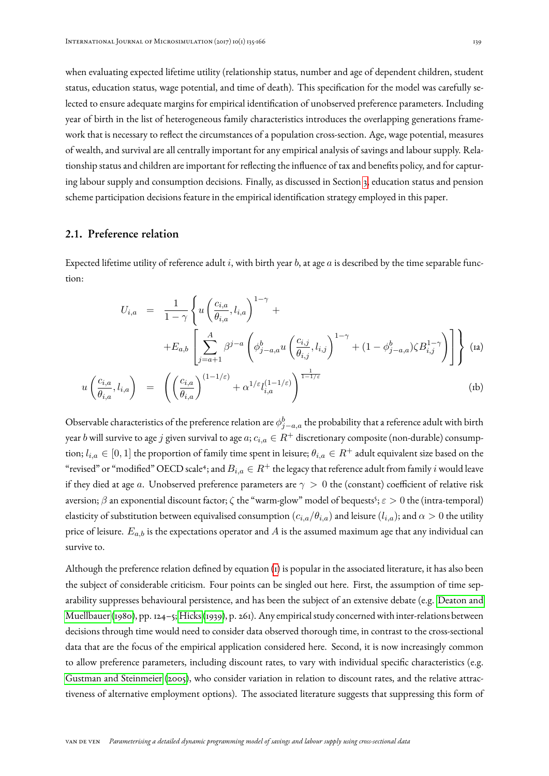when evaluating expected lifetime utility (relationship status, number and age of dependent children, student status, education status, wage potential, and time of death). This specification for the model was carefully selected to ensure adequate margins for empirical identification of unobserved preference parameters. Including year of birth in the list of heterogeneous family characteristics introduces the overlapping generations framework that is necessary to reflect the circumstances of a population cross-section. Age, wage potential, measures of wealth, and survival are all centrally important for any empirical analysis of savings and labour supply. Relationship status and children are important for reflecting the influence of tax and benefits policy, and for capturing labour supply and consumption decisions. Finally, as discussed in Section [3,](#page-10-0) education status and pension scheme participation decisions feature in the empirical identification strategy employed in this paper.

# <span id="page-4-1"></span>2.1. Preference relation

<span id="page-4-0"></span>Expected lifetime utility of reference adult  $i$ , with birth year  $b$ , at age  $a$  is described by the time separable function:

$$
U_{i,a} = \frac{1}{1-\gamma} \left\{ u \left( \frac{c_{i,a}}{\theta_{i,a}}, l_{i,a} \right)^{1-\gamma} + \right.\n+ E_{a,b} \left[ \sum_{j=a+1}^{A} \beta^{j-a} \left( \phi_{j-a,a}^b u \left( \frac{c_{i,j}}{\theta_{i,j}}, l_{i,j} \right)^{1-\gamma} + (1 - \phi_{j-a,a}^b) \zeta B_{i,j}^{1-\gamma} \right) \right] \right\} (a)
$$
  
\n
$$
u \left( \frac{c_{i,a}}{\theta_{i,a}}, l_{i,a} \right) = \left( \left( \frac{c_{i,a}}{\theta_{i,a}} \right)^{(1-1/\varepsilon)} + \alpha^{1/\varepsilon} l_{i,a}^{(1-1/\varepsilon)} \right)^{\frac{1}{1-1/\varepsilon}} (b)
$$

Observable characteristics of the preference relation are  $\phi^b_{j-a,a}$  the probability that a reference adult with birth year b will survive to age j given survival to age  $a$ ;  $c_{i,a} \in R^+$  discretionary composite (non-durable) consumption;  $l_{i,a} \in [0,1]$  the proportion of family time spent in leisure;  $\theta_{i,a} \in R^+$  adult equivalent size based on the "revised" or "modified" OECD scale<sup>4</sup>; and  $B_{i,a} \in R^+$  the legacy that reference adult from family  $i$  would leave if they died at age a. Unobserved preference parameters are  $\gamma > 0$  the (constant) coefficient of relative risk aversion;  $\beta$  an exponential discount factor;  $\zeta$  the "warm-glow" model of bequests<sup>5</sup>;  $\varepsilon>0$  the (intra-temporal) elasticity of substitution between equivalised consumption  $(c_{i,a}/\theta_{i,a})$  and leisure  $(l_{i,a})$ ; and  $\alpha > 0$  the utility price of leisure.  $E_{a,b}$  is the expectations operator and A is the assumed maximum age that any individual can survive to.

Although the preference relation defined by equation [\(1\)](#page-4-0) is popular in the associated literature, it has also been the subject of considerable criticism. Four points can be singled out here. First, the assumption of time separability suppresses behavioural persistence, and has been the subject of an extensive debate (e.g. [Deaton and](#page-28-4) [Muellbauer](#page-28-4) [\(1980\)](#page-28-4), pp. 124–5; [Hicks](#page-29-3) [\(1939\)](#page-29-3), p. 261). Any empirical study concerned with inter-relations between decisions through time would need to consider data observed thorough time, in contrast to the cross-sectional data that are the focus of the empirical application considered here. Second, it is now increasingly common to allow preference parameters, including discount rates, to vary with individual specific characteristics (e.g. [Gustman and Steinmeier](#page-29-4) [\(2005\)](#page-29-4), who consider variation in relation to discount rates, and the relative attractiveness of alternative employment options). The associated literature suggests that suppressing this form of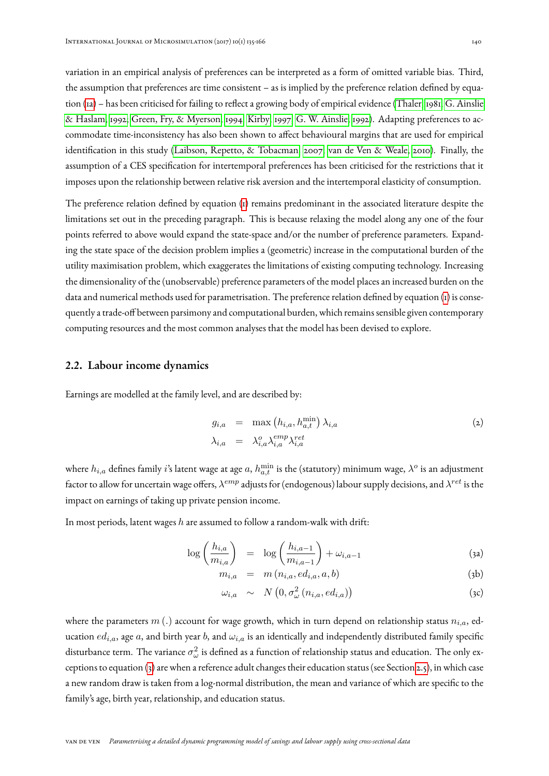variation in an empirical analysis of preferences can be interpreted as a form of omitted variable bias. Third, the assumption that preferences are time consistent – as is implied by the preference relation defined by equation [\(1a\)](#page-4-0) – has been criticised for failing to reflect a growing body of empirical evidence [\(Thaler, 1981;](#page-30-4) [G. Ainslie](#page-27-0) [& Haslam, 1992;](#page-27-0) [Green, Fry, & Myerson, 1994;](#page-29-5) [Kirby, 1997;](#page-29-6) [G. W. Ainslie, 1992\)](#page-27-1). Adapting preferences to accommodate time-inconsistency has also been shown to affect behavioural margins that are used for empirical identification in this study [\(Laibson, Repetto, & Tobacman, 2007;](#page-30-5) [van de Ven & Weale, 2010\)](#page-30-1). Finally, the assumption of a CES specification for intertemporal preferences has been criticised for the restrictions that it imposes upon the relationship between relative risk aversion and the intertemporal elasticity of consumption.

The preference relation defined by equation [\(1\)](#page-4-0) remains predominant in the associated literature despite the limitations set out in the preceding paragraph. This is because relaxing the model along any one of the four points referred to above would expand the state-space and/or the number of preference parameters. Expanding the state space of the decision problem implies a (geometric) increase in the computational burden of the utility maximisation problem, which exaggerates the limitations of existing computing technology. Increasing the dimensionality of the (unobservable) preference parameters of the model places an increased burden on the data and numerical methods used for parametrisation. The preference relation defined by equation [\(1\)](#page-4-0) is consequently a trade-off between parsimony and computational burden, which remains sensible given contemporary computing resources and the most common analyses that the model has been devised to explore.

#### <span id="page-5-1"></span>2.2. Labour income dynamics

Earnings are modelled at the family level, and are described by:

$$
g_{i,a} = \max(h_{i,a}, h_{a,t}^{\min}) \lambda_{i,a}
$$
  
\n
$$
\lambda_{i,a} = \lambda_{i,a}^o \lambda_{i,a}^{emp} \lambda_{i,a}^{ret}
$$
\n(2)

where  $h_{i,a}$  defines family  $i$ 's latent wage at age  $a,$   $h_{a,t}^{\min}$  is the (statutory) minimum wage,  $\lambda^o$  is an adjustment factor to allow for uncertain wage offers,  $\lambda^{emp}$  adjusts for (endogenous) labour supply decisions, and  $\lambda^{ret}$  is the impact on earnings of taking up private pension income.

In most periods, latent wages  $h$  are assumed to follow a random-walk with drift:

$$
\log\left(\frac{h_{i,a}}{m_{i,a}}\right) = \log\left(\frac{h_{i,a-1}}{m_{i,a-1}}\right) + \omega_{i,a-1} \tag{3a}
$$

<span id="page-5-0"></span>
$$
m_{i,a} = m(n_{i,a}, ed_{i,a}, a, b) \tag{3b}
$$

$$
\omega_{i,a} \sim N\left(0, \sigma_{\omega}^2\left(n_{i,a}, ed_{i,a}\right)\right) \tag{3c}
$$

where the parameters  $m(.)$  account for wage growth, which in turn depend on relationship status  $n_{i,a}$ , education  $ed_{i,a}$ , age a, and birth year b, and  $\omega_{i,a}$  is an identically and independently distributed family specific disturbance term. The variance  $\sigma_\omega^2$  is defined as a function of relationship status and education. The only exceptions to equation [\(3\)](#page-5-0) are when a reference adult changes their education status (see Section [2.5\)](#page-9-0), in which case a new random draw is taken from a log-normal distribution, the mean and variance of which are specific to the family's age, birth year, relationship, and education status.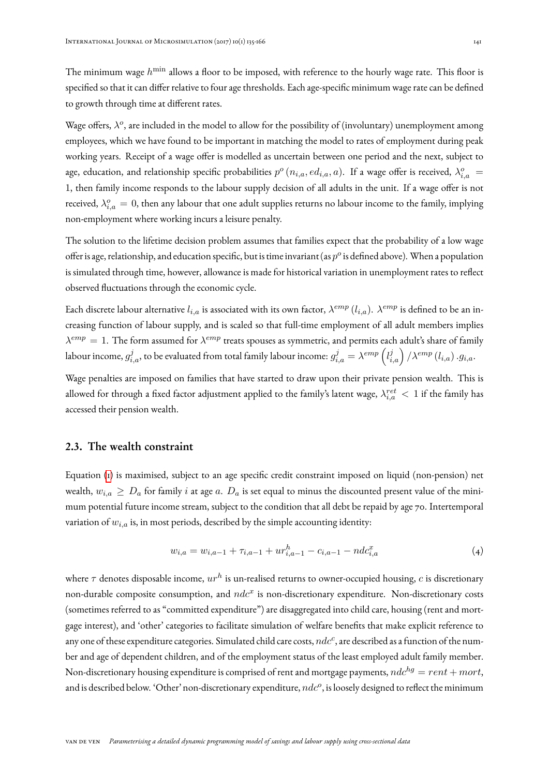The minimum wage  $h^{\min}$  allows a floor to be imposed, with reference to the hourly wage rate. This floor is specified so that it can differ relative to four age thresholds. Each age-specific minimum wage rate can be defined to growth through time at different rates.

Wage offers,  $\lambda^o$ , are included in the model to allow for the possibility of (involuntary) unemployment among employees, which we have found to be important in matching the model to rates of employment during peak working years. Receipt of a wage offer is modelled as uncertain between one period and the next, subject to age, education, and relationship specific probabilities  $p^o(n_{i,a},ed_{i,a},a)$ . If a wage offer is received,  $\lambda_{i,a}^o$  = 1, then family income responds to the labour supply decision of all adults in the unit. If a wage offer is not received,  $\lambda_{i,a}^o = 0$ , then any labour that one adult supplies returns no labour income to the family, implying non-employment where working incurs a leisure penalty.

The solution to the lifetime decision problem assumes that families expect that the probability of a low wage offer is age, relationship, and education specific, but is time invariant (as  $p^o$  is defined above). When a population is simulated through time, however, allowance is made for historical variation in unemployment rates to reflect observed fluctuations through the economic cycle.

Each discrete labour alternative  $l_{i,a}$  is associated with its own factor,  $\lambda^{emp}$   $(l_{i,a})$ .  $\lambda^{emp}$  is defined to be an increasing function of labour supply, and is scaled so that full-time employment of all adult members implies  $\lambda^{emp}=1.$  The form assumed for  $\lambda^{emp}$  treats spouses as symmetric, and permits each adult's share of family labour income,  $g^j_{i,a}$ , to be evaluated from total family labour income:  $g^j_{i,a}=\lambda^{emp}\left(l^j_{i,a}\right)/\lambda^{emp}\left(l_{i,a}\right).g_{i,a}.$ 

Wage penalties are imposed on families that have started to draw upon their private pension wealth. This is allowed for through a fixed factor adjustment applied to the family's latent wage,  $\lambda^{ret}_{i,a} < 1$  if the family has accessed their pension wealth.

#### 2.3. The wealth constraint

Equation [\(1\)](#page-4-0) is maximised, subject to an age specific credit constraint imposed on liquid (non-pension) net wealth,  $w_{i,a} \geq D_a$  for family i at age a.  $D_a$  is set equal to minus the discounted present value of the minimum potential future income stream, subject to the condition that all debt be repaid by age 70. Intertemporal variation of  $w_{i,a}$  is, in most periods, described by the simple accounting identity:

<span id="page-6-0"></span>
$$
w_{i,a} = w_{i,a-1} + \tau_{i,a-1} + ur_{i,a-1}^h - c_{i,a-1} - ndc_{i,a}^x \tag{4}
$$

where  $\tau$  denotes disposable income,  $ur^h$  is un-realised returns to owner-occupied housing,  $c$  is discretionary non-durable composite consumption, and  $ndc^x$  is non-discretionary expenditure. Non-discretionary costs (sometimes referred to as "committed expenditure") are disaggregated into child care, housing (rent and mortgage interest), and 'other' categories to facilitate simulation of welfare benefits that make explicit reference to any one of these expenditure categories. Simulated child care costs,  $ndc^c$ , are described as a function of the number and age of dependent children, and of the employment status of the least employed adult family member. Non-discretionary housing expenditure is comprised of rent and mortgage payments,  $ndc^{hg} = rent + mort$ , and is described below. 'Other' non-discretionary expenditure,  $ndc^o$ , is loosely designed to reflect the minimum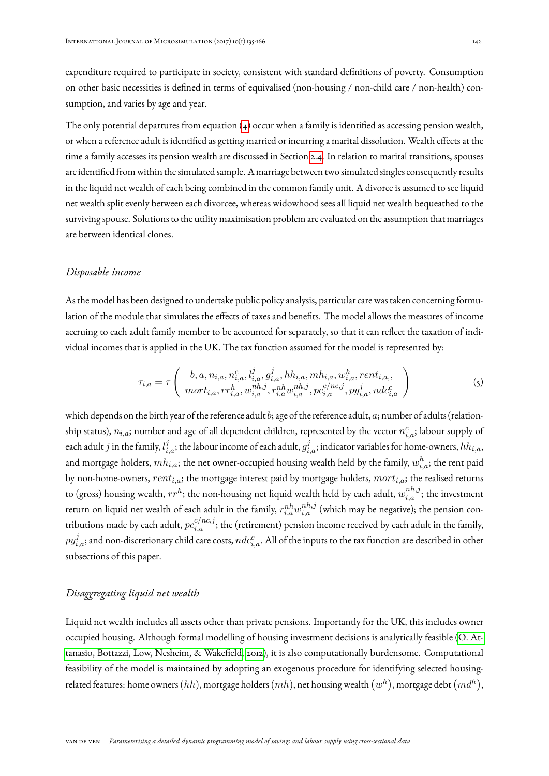expenditure required to participate in society, consistent with standard definitions of poverty. Consumption on other basic necessities is defined in terms of equivalised (non-housing / non-child care / non-health) consumption, and varies by age and year.

The only potential departures from equation  $(4)$  occur when a family is identified as accessing pension wealth, or when a reference adult is identified as getting married or incurring a marital dissolution. Wealth effects at the time a family accesses its pension wealth are discussed in Section [2.4.](#page-8-0) In relation to marital transitions, spouses are identified from within the simulated sample. A marriage between two simulated singles consequently results in the liquid net wealth of each being combined in the common family unit. A divorce is assumed to see liquid net wealth split evenly between each divorcee, whereas widowhood sees all liquid net wealth bequeathed to the surviving spouse. Solutions to the utility maximisation problem are evaluated on the assumption that marriages are between identical clones.

#### *Disposable income*

As the model has been designed to undertake public policy analysis, particular care was taken concerning formulation of the module that simulates the effects of taxes and benefits. The model allows the measures of income accruing to each adult family member to be accounted for separately, so that it can reflect the taxation of individual incomes that is applied in the UK. The tax function assumed for the model is represented by:

$$
\tau_{i,a} = \tau \left( b, a, n_{i,a}, n_{i,a}^c, l_{i,a}^j, g_{i,a}^j, hh_{i,a}, mh_{i,a}, w_{i,a}^h, rent_{i,a}, \ n_{i,a}^h, r_{i,a}^{nh,j}, r_{i,a}^{nh,j} w_{i,a}^{nh,j}, pc_{i,a}^{C/nc,j}, py_{i,a}^j, ndc_{i,a}^c \right) \tag{5}
$$

which depends on the birth year of the reference adult  $b$ ; age of the reference adult,  $a$ ; number of adults (relationship status),  $n_{i,a}$ ; number and age of all dependent children, represented by the vector  $n_{i,a}^c$ ; labour supply of each adult  $j$  in the family,  $l_{i,a}^j;$  the labour income of each adult,  $g_{i,a}^j;$  indicator variables for home-owners,  $hh_{i,a},$ and mortgage holders,  $mh_{i,a}$ ; the net owner-occupied housing wealth held by the family,  $w_{i,a}^h$ ; the rent paid by non-home-owners,  $rent_{i,a}$ ; the mortgage interest paid by mortgage holders,  $mort_{i,a}$ ; the realised returns to (gross) housing wealth,  $rr^h$ ; the non-housing net liquid wealth held by each adult,  $w_{i,a}^{nh,j};$  the investment return on liquid net wealth of each adult in the family,  $r_{i,a}^{nh}w_{i,a}^{nh,j}$  (which may be negative); the pension contributions made by each adult,  $pc_{i,a}^{c/nc,j};$  the (retirement) pension income received by each adult in the family,  $py_{i,a}^j;$  and non-discretionary child care costs,  $ndc_{i,a}^c.$  All of the inputs to the tax function are described in other subsections of this paper.

### *Disaggregating liquid net wealth*

Liquid net wealth includes all assets other than private pensions. Importantly for the UK, this includes owner occupied housing. Although formal modelling of housing investment decisions is analytically feasible [\(O. At](#page-28-5)[tanasio, Bottazzi, Low, Nesheim, & Wakefield, 2012\)](#page-28-5), it is also computationally burdensome. Computational feasibility of the model is maintained by adopting an exogenous procedure for identifying selected housingrelated features: home owners  $(hh),$  mortgage holders  $(mh),$  net housing wealth  $(w^h),$  mortgage debt  $(md^h),$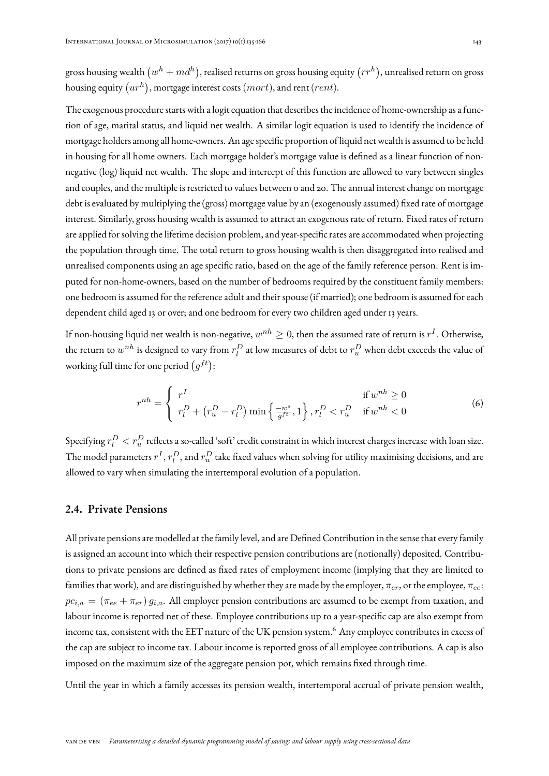gross housing wealth  $(w^h+md^h),$  realised returns on gross housing equity  $(rr^h),$  unrealised return on gross housing equity  $\left( ur^{h}\right)$ , mortgage interest costs  $(mort),$  and rent ( $rent).$ 

The exogenous procedure starts with a logit equation that describes the incidence of home-ownership as a function of age, marital status, and liquid net wealth. A similar logit equation is used to identify the incidence of mortgage holders among all home-owners. An age specific proportion of liquid net wealth is assumed to be held in housing for all home owners. Each mortgage holder's mortgage value is defined as a linear function of nonnegative (log) liquid net wealth. The slope and intercept of this function are allowed to vary between singles and couples, and the multiple is restricted to values between 0 and 20. The annual interest change on mortgage debt is evaluated by multiplying the (gross) mortgage value by an (exogenously assumed) fixed rate of mortgage interest. Similarly, gross housing wealth is assumed to attract an exogenous rate of return. Fixed rates of return are applied for solving the lifetime decision problem, and year-specific rates are accommodated when projecting the population through time. The total return to gross housing wealth is then disaggregated into realised and unrealised components using an age specific ratio, based on the age of the family reference person. Rent is imputed for non-home-owners, based on the number of bedrooms required by the constituent family members: one bedroom is assumed for the reference adult and their spouse (if married); one bedroom is assumed for each dependent child aged 13 or over; and one bedroom for every two children aged under 13 years.

If non-housing liquid net wealth is non-negative,  $w^{nh}\geq 0,$  then the assumed rate of return is  $r^I.$  Otherwise, the return to  $w^{nh}$  is designed to vary from  $r^D_l$  at low measures of debt to  $r^D_u$  when debt exceeds the value of working full time for one period  $(g^{ft})$ :

$$
r^{nh} = \begin{cases} r^I & \text{if } w^{nh} \ge 0\\ r^D_l + \left(r^D_u - r^D_l\right) \min\left\{\frac{-w^s}{g^{ft}}, 1\right\}, r^D_l & \text{if } w^{nh} < 0 \end{cases} \tag{6}
$$

Specifying  $r_l^D < r_u^D$  reflects a so-called 'soft' credit constraint in which interest charges increase with loan size. The model parameters  $r^I, r^D_l,$  and  $r^D_u$  take fixed values when solving for utility maximising decisions, and are allowed to vary when simulating the intertemporal evolution of a population.

## <span id="page-8-0"></span>2.4. Private Pensions

All private pensions are modelled at the family level, and are Defined Contribution in the sense that every family is assigned an account into which their respective pension contributions are (notionally) deposited. Contributions to private pensions are defined as fixed rates of employment income (implying that they are limited to families that work), and are distinguished by whether they are made by the employer,  $\pi_{er}$ , or the employee,  $\pi_{ee}$ :  $pc_{i,a} = (\pi_{ee} + \pi_{er}) g_{i,a}$ . All employer pension contributions are assumed to be exempt from taxation, and labour income is reported net of these. Employee contributions up to a year-specific cap are also exempt from income tax, consistent with the EET nature of the UK pension system.<sup>6</sup> Any employee contributes in excess of the cap are subject to income tax. Labour income is reported gross of all employee contributions. A cap is also imposed on the maximum size of the aggregate pension pot, which remains fixed through time.

Until the year in which a family accesses its pension wealth, intertemporal accrual of private pension wealth,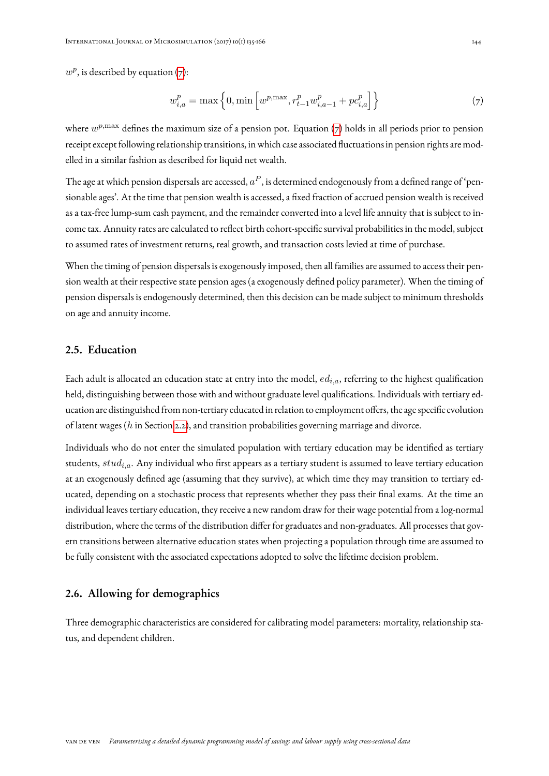$w^p$ , is described by equation [\(7\)](#page-9-1):

<span id="page-9-1"></span>
$$
w_{i,a}^p = \max\left\{0, \min\left[w^{p,\max}, r_{t-1}^p w_{i,a-1}^p + p c_{i,a}^p\right]\right\}
$$
(7)

where  $w^{p, \max}$  defines the maximum size of a pension pot. Equation [\(7\)](#page-9-1) holds in all periods prior to pension receipt except following relationship transitions, in which case associated fluctuations in pension rights are modelled in a similar fashion as described for liquid net wealth.

The age at which pension dispersals are accessed,  $a^P$ , is determined endogenously from a defined range of 'pensionable ages'. At the time that pension wealth is accessed, a fixed fraction of accrued pension wealth is received as a tax-free lump-sum cash payment, and the remainder converted into a level life annuity that is subject to income tax. Annuity rates are calculated to reflect birth cohort-specific survival probabilities in the model, subject to assumed rates of investment returns, real growth, and transaction costs levied at time of purchase.

When the timing of pension dispersals is exogenously imposed, then all families are assumed to access their pension wealth at their respective state pension ages (a exogenously defined policy parameter). When the timing of pension dispersals is endogenously determined, then this decision can be made subject to minimum thresholds on age and annuity income.

# <span id="page-9-0"></span>2.5. Education

Each adult is allocated an education state at entry into the model,  $ed_{i,a}$ , referring to the highest qualification held, distinguishing between those with and without graduate level qualifications. Individuals with tertiary education are distinguished from non-tertiary educated in relation to employment offers, the age specific evolution of latent wages (h in Section [2.2\)](#page-5-1), and transition probabilities governing marriage and divorce.

Individuals who do not enter the simulated population with tertiary education may be identified as tertiary students,  $stud_{i.a}$ . Any individual who first appears as a tertiary student is assumed to leave tertiary education at an exogenously defined age (assuming that they survive), at which time they may transition to tertiary educated, depending on a stochastic process that represents whether they pass their final exams. At the time an individual leaves tertiary education, they receive a new random draw for their wage potential from a log-normal distribution, where the terms of the distribution differ for graduates and non-graduates. All processes that govern transitions between alternative education states when projecting a population through time are assumed to be fully consistent with the associated expectations adopted to solve the lifetime decision problem.

## 2.6. Allowing for demographics

Three demographic characteristics are considered for calibrating model parameters: mortality, relationship status, and dependent children.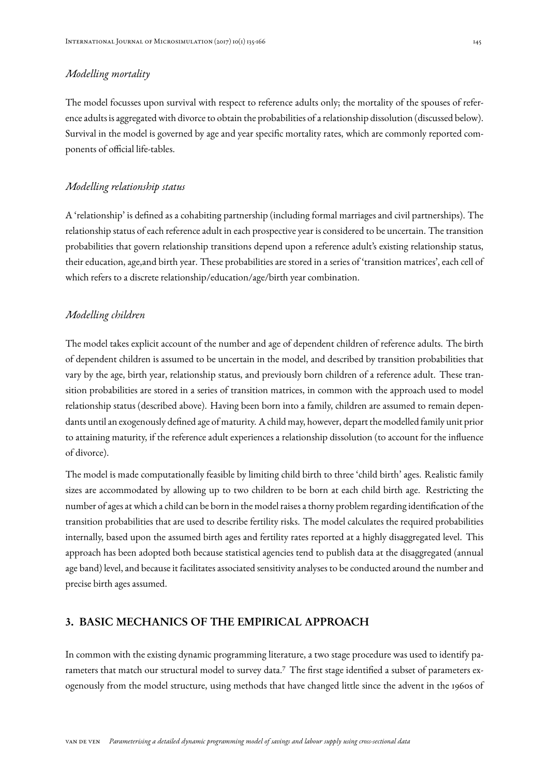# *Modelling mortality*

The model focusses upon survival with respect to reference adults only; the mortality of the spouses of reference adults is aggregated with divorce to obtain the probabilities of a relationship dissolution (discussed below). Survival in the model is governed by age and year specific mortality rates, which are commonly reported components of official life-tables.

### *Modelling relationship status*

A 'relationship' is defined as a cohabiting partnership (including formal marriages and civil partnerships). The relationship status of each reference adult in each prospective year is considered to be uncertain. The transition probabilities that govern relationship transitions depend upon a reference adult's existing relationship status, their education, age,and birth year. These probabilities are stored in a series of 'transition matrices', each cell of which refers to a discrete relationship/education/age/birth year combination.

#### *Modelling children*

The model takes explicit account of the number and age of dependent children of reference adults. The birth of dependent children is assumed to be uncertain in the model, and described by transition probabilities that vary by the age, birth year, relationship status, and previously born children of a reference adult. These transition probabilities are stored in a series of transition matrices, in common with the approach used to model relationship status (described above). Having been born into a family, children are assumed to remain dependants until an exogenously defined age of maturity. A child may, however, depart the modelled family unit prior to attaining maturity, if the reference adult experiences a relationship dissolution (to account for the influence of divorce).

The model is made computationally feasible by limiting child birth to three 'child birth' ages. Realistic family sizes are accommodated by allowing up to two children to be born at each child birth age. Restricting the number of ages at which a child can be born in the model raises a thorny problem regarding identification of the transition probabilities that are used to describe fertility risks. The model calculates the required probabilities internally, based upon the assumed birth ages and fertility rates reported at a highly disaggregated level. This approach has been adopted both because statistical agencies tend to publish data at the disaggregated (annual age band) level, and because it facilitates associated sensitivity analyses to be conducted around the number and precise birth ages assumed.

# <span id="page-10-0"></span>3. BASIC MECHANICS OF THE EMPIRICAL APPROACH

In common with the existing dynamic programming literature, a two stage procedure was used to identify parameters that match our structural model to survey data.<sup>7</sup> The first stage identified a subset of parameters exogenously from the model structure, using methods that have changed little since the advent in the 1960s of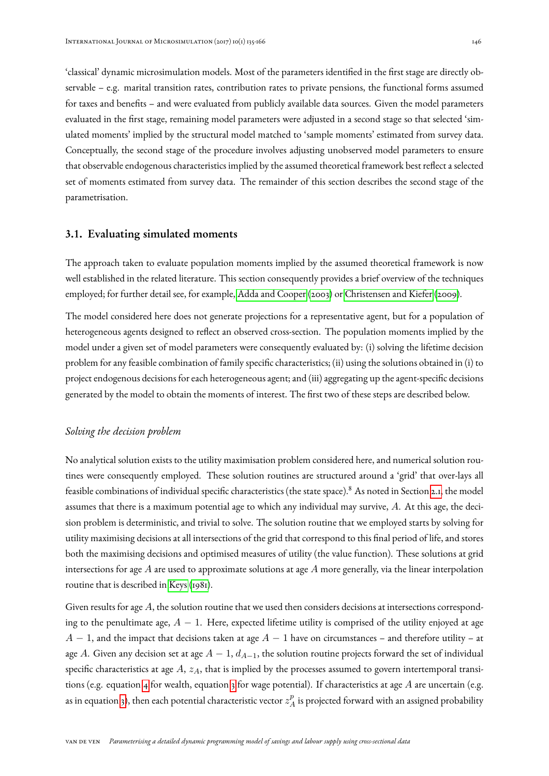'classical' dynamic microsimulation models. Most of the parameters identified in the first stage are directly observable – e.g. marital transition rates, contribution rates to private pensions, the functional forms assumed for taxes and benefits – and were evaluated from publicly available data sources. Given the model parameters evaluated in the first stage, remaining model parameters were adjusted in a second stage so that selected 'simulated moments' implied by the structural model matched to 'sample moments' estimated from survey data. Conceptually, the second stage of the procedure involves adjusting unobserved model parameters to ensure that observable endogenous characteristics implied by the assumed theoretical framework best reflect a selected set of moments estimated from survey data. The remainder of this section describes the second stage of the parametrisation.

## 3.1. Evaluating simulated moments

The approach taken to evaluate population moments implied by the assumed theoretical framework is now well established in the related literature. This section consequently provides a brief overview of the techniques employed; for further detail see, for example, [Adda and Cooper](#page-27-2) [\(2003\)](#page-27-2) or [Christensen and Kiefer](#page-28-6) [\(2009\)](#page-28-6).

The model considered here does not generate projections for a representative agent, but for a population of heterogeneous agents designed to reflect an observed cross-section. The population moments implied by the model under a given set of model parameters were consequently evaluated by: (i) solving the lifetime decision problem for any feasible combination of family specific characteristics; (ii) using the solutions obtained in (i) to project endogenous decisions for each heterogeneous agent; and (iii) aggregating up the agent-specific decisions generated by the model to obtain the moments of interest. The first two of these steps are described below.

### *Solving the decision problem*

No analytical solution exists to the utility maximisation problem considered here, and numerical solution routines were consequently employed. These solution routines are structured around a 'grid' that over-lays all feasible combinations of individual specific characteristics (the state space).<sup>8</sup> As noted in Section [2.1,](#page-4-1) the model assumes that there is a maximum potential age to which any individual may survive, A. At this age, the decision problem is deterministic, and trivial to solve. The solution routine that we employed starts by solving for utility maximising decisions at all intersections of the grid that correspond to this final period of life, and stores both the maximising decisions and optimised measures of utility (the value function). These solutions at grid intersections for age  $A$  are used to approximate solutions at age  $A$  more generally, via the linear interpolation routine that is described in [Keys](#page-29-7) [\(1981\)](#page-29-7).

Given results for age  $A$ , the solution routine that we used then considers decisions at intersections corresponding to the penultimate age,  $A - 1$ . Here, expected lifetime utility is comprised of the utility enjoyed at age  $A-1$ , and the impact that decisions taken at age  $A-1$  have on circumstances – and therefore utility – at age A. Given any decision set at age  $A-1$ ,  $d_{A-1}$ , the solution routine projects forward the set of individual specific characteristics at age  $A$ ,  $z_A$ , that is implied by the processes assumed to govern intertemporal transi-tions (e.g. equation [4](#page-6-0) for wealth, equation [3](#page-5-0) for wage potential). If characteristics at age  $A$  are uncertain (e.g. as in equation [3\)](#page-5-0), then each potential characteristic vector  $z_\mathbb{\scriptscriptstyle f}^p$  $A^p_A$  is projected forward with an assigned probability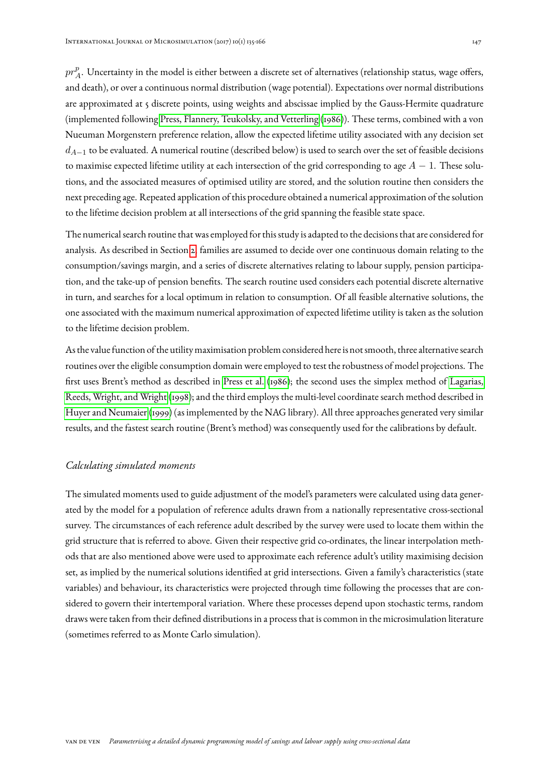$pr^p_{\overline{A}}$  $_{A}^{p}$ . Uncertainty in the model is either between a discrete set of alternatives (relationship status, wage offers, and death), or over a continuous normal distribution (wage potential). Expectations over normal distributions are approximated at 5 discrete points, using weights and abscissae implied by the Gauss-Hermite quadrature (implemented following [Press, Flannery, Teukolsky, and Vetterling](#page-30-6) [\(1986\)](#page-30-6)). These terms, combined with a von Nueuman Morgenstern preference relation, allow the expected lifetime utility associated with any decision set  $d_{A-1}$  to be evaluated. A numerical routine (described below) is used to search over the set of feasible decisions to maximise expected lifetime utility at each intersection of the grid corresponding to age  $A - 1$ . These solutions, and the associated measures of optimised utility are stored, and the solution routine then considers the next preceding age. Repeated application of this procedure obtained a numerical approximation of the solution to the lifetime decision problem at all intersections of the grid spanning the feasible state space.

The numerical search routine that was employed for this study is adapted to the decisions that are considered for analysis. As described in Section [2,](#page-3-0) families are assumed to decide over one continuous domain relating to the consumption/savings margin, and a series of discrete alternatives relating to labour supply, pension participation, and the take-up of pension benefits. The search routine used considers each potential discrete alternative in turn, and searches for a local optimum in relation to consumption. Of all feasible alternative solutions, the one associated with the maximum numerical approximation of expected lifetime utility is taken as the solution to the lifetime decision problem.

As the value function of the utility maximisation problem considered here is not smooth, three alternative search routines over the eligible consumption domain were employed to test the robustness of model projections. The first uses Brent's method as described in [Press et al.](#page-30-6) [\(1986\)](#page-30-6); the second uses the simplex method of [Lagarias,](#page-29-8) [Reeds, Wright, and Wright](#page-29-8) [\(1998\)](#page-29-8); and the third employs the multi-level coordinate search method described in [Huyer and Neumaier](#page-29-9) [\(1999\)](#page-29-9) (as implemented by the NAG library). All three approaches generated very similar results, and the fastest search routine (Brent's method) was consequently used for the calibrations by default.

## *Calculating simulated moments*

<span id="page-12-0"></span>The simulated moments used to guide adjustment of the model's parameters were calculated using data generated by the model for a population of reference adults drawn from a nationally representative cross-sectional survey. The circumstances of each reference adult described by the survey were used to locate them within the grid structure that is referred to above. Given their respective grid co-ordinates, the linear interpolation methods that are also mentioned above were used to approximate each reference adult's utility maximising decision set, as implied by the numerical solutions identified at grid intersections. Given a family's characteristics (state variables) and behaviour, its characteristics were projected through time following the processes that are considered to govern their intertemporal variation. Where these processes depend upon stochastic terms, random draws were taken from their defined distributions in a process that is common in the microsimulation literature (sometimes referred to as Monte Carlo simulation).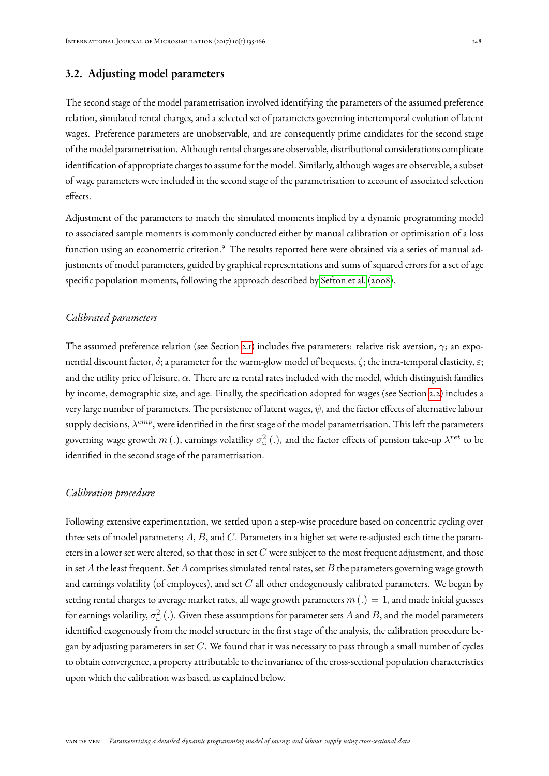# 3.2. Adjusting model parameters

The second stage of the model parametrisation involved identifying the parameters of the assumed preference relation, simulated rental charges, and a selected set of parameters governing intertemporal evolution of latent wages. Preference parameters are unobservable, and are consequently prime candidates for the second stage of the model parametrisation. Although rental charges are observable, distributional considerations complicate identification of appropriate charges to assume for the model. Similarly, although wages are observable, a subset of wage parameters were included in the second stage of the parametrisation to account of associated selection effects.

Adjustment of the parameters to match the simulated moments implied by a dynamic programming model to associated sample moments is commonly conducted either by manual calibration or optimisation of a loss function using an econometric criterion.<sup>9</sup> The results reported here were obtained via a series of manual adjustments of model parameters, guided by graphical representations and sums of squared errors for a set of age specific population moments, following the approach described by [Sefton et al.](#page-30-0) [\(2008\)](#page-30-0).

#### *Calibrated parameters*

The assumed preference relation (see Section [2.1\)](#page-4-1) includes five parameters: relative risk aversion, γ; an exponential discount factor,  $\delta$ ; a parameter for the warm-glow model of bequests,  $\zeta$ ; the intra-temporal elasticity,  $\varepsilon$ ; and the utility price of leisure,  $\alpha$ . There are 12 rental rates included with the model, which distinguish families by income, demographic size, and age. Finally, the specification adopted for wages (see Section [2.2\)](#page-5-1) includes a very large number of parameters. The persistence of latent wages,  $\psi$ , and the factor effects of alternative labour supply decisions,  $\lambda^{emp}$ , were identified in the first stage of the model parametrisation. This left the parameters governing wage growth  $m$  (.), earnings volatility  $\sigma_\omega^2$  (.), and the factor effects of pension take-up  $\lambda^{ret}$  to be identified in the second stage of the parametrisation.

#### *Calibration procedure*

Following extensive experimentation, we settled upon a step-wise procedure based on concentric cycling over three sets of model parameters;  $A, B$ , and  $C$ . Parameters in a higher set were re-adjusted each time the parameters in a lower set were altered, so that those in set  $C$  were subject to the most frequent adjustment, and those in set  $A$  the least frequent. Set  $A$  comprises simulated rental rates, set  $B$  the parameters governing wage growth and earnings volatility (of employees), and set  $C$  all other endogenously calibrated parameters. We began by setting rental charges to average market rates, all wage growth parameters  $m(.) = 1$ , and made initial guesses for earnings volatility,  $\sigma_\omega^2$  ( .). Given these assumptions for parameter sets  $A$  and  $B$ , and the model parameters identified exogenously from the model structure in the first stage of the analysis, the calibration procedure began by adjusting parameters in set  $C$ . We found that it was necessary to pass through a small number of cycles to obtain convergence, a property attributable to the invariance of the cross-sectional population characteristics upon which the calibration was based, as explained below.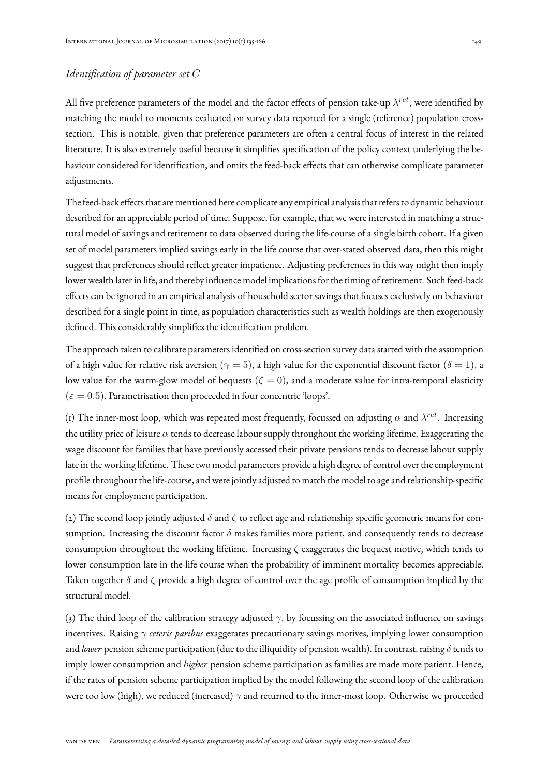# *Identification of parameter set* C

All five preference parameters of the model and the factor effects of pension take-up  $\lambda^{ret},$  were identified by matching the model to moments evaluated on survey data reported for a single (reference) population crosssection. This is notable, given that preference parameters are often a central focus of interest in the related literature. It is also extremely useful because it simplifies specification of the policy context underlying the behaviour considered for identification, and omits the feed-back effects that can otherwise complicate parameter adjustments.

The feed-back effects that are mentioned here complicate any empirical analysis that refers to dynamic behaviour described for an appreciable period of time. Suppose, for example, that we were interested in matching a structural model of savings and retirement to data observed during the life-course of a single birth cohort. If a given set of model parameters implied savings early in the life course that over-stated observed data, then this might suggest that preferences should reflect greater impatience. Adjusting preferences in this way might then imply lower wealth later in life, and thereby influence model implications for the timing of retirement. Such feed-back effects can be ignored in an empirical analysis of household sector savings that focuses exclusively on behaviour described for a single point in time, as population characteristics such as wealth holdings are then exogenously defined. This considerably simplifies the identification problem.

The approach taken to calibrate parameters identified on cross-section survey data started with the assumption of a high value for relative risk aversion ( $\gamma = 5$ ), a high value for the exponential discount factor ( $\delta = 1$ ), a low value for the warm-glow model of bequests ( $\zeta = 0$ ), and a moderate value for intra-temporal elasticity  $(\varepsilon = 0.5)$ . Parametrisation then proceeded in four concentric 'loops'.

(1) The inner-most loop, which was repeated most frequently, focussed on adjusting  $\alpha$  and  $\lambda^{ret}.$  Increasing the utility price of leisure  $\alpha$  tends to decrease labour supply throughout the working lifetime. Exaggerating the wage discount for families that have previously accessed their private pensions tends to decrease labour supply late in the working lifetime. These two model parameters provide a high degree of control over the employment profile throughout the life-course, and were jointly adjusted to match the model to age and relationship-specific means for employment participation.

(2) The second loop jointly adjusted  $\delta$  and  $\zeta$  to reflect age and relationship specific geometric means for consumption. Increasing the discount factor  $\delta$  makes families more patient, and consequently tends to decrease consumption throughout the working lifetime. Increasing ζ exaggerates the bequest motive, which tends to lower consumption late in the life course when the probability of imminent mortality becomes appreciable. Taken together  $\delta$  and  $\zeta$  provide a high degree of control over the age profile of consumption implied by the structural model.

(3) The third loop of the calibration strategy adjusted  $\gamma$ , by focussing on the associated influence on savings incentives. Raising γ *ceteris paribus* exaggerates precautionary savings motives, implying lower consumption and *lower* pension scheme participation (due to the illiquidity of pension wealth). In contrast, raising δ tends to imply lower consumption and *higher* pension scheme participation as families are made more patient. Hence, if the rates of pension scheme participation implied by the model following the second loop of the calibration were too low (high), we reduced (increased)  $\gamma$  and returned to the inner-most loop. Otherwise we proceeded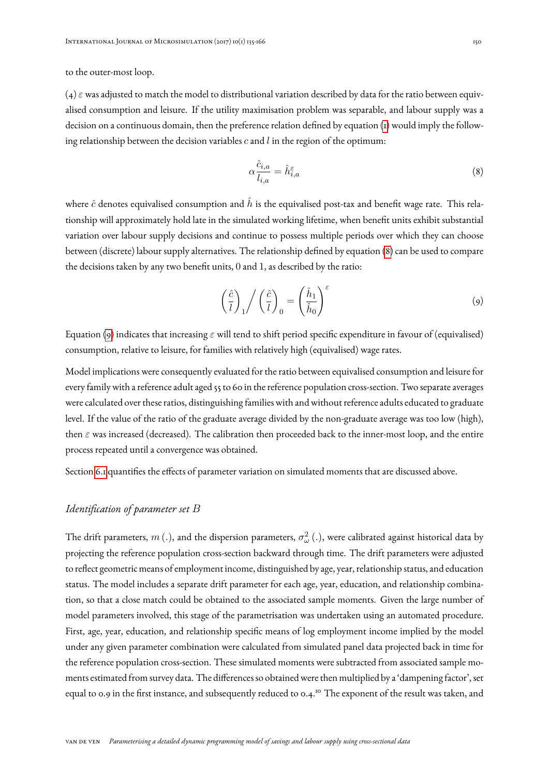to the outer-most loop.

 $(4)$   $\varepsilon$  was adjusted to match the model to distributional variation described by data for the ratio between equivalised consumption and leisure. If the utility maximisation problem was separable, and labour supply was a decision on a continuous domain, then the preference relation defined by equation [\(1\)](#page-4-0) would imply the following relationship between the decision variables  $c$  and  $l$  in the region of the optimum:

<span id="page-15-0"></span>
$$
\alpha \frac{\hat{c}_{i,a}}{l_{i,a}} = \hat{h}_{i,a}^{\varepsilon} \tag{8}
$$

where  $\hat{c}$  denotes equivalised consumption and  $\hat{h}$  is the equivalised post-tax and benefit wage rate. This relationship will approximately hold late in the simulated working lifetime, when benefit units exhibit substantial variation over labour supply decisions and continue to possess multiple periods over which they can choose between (discrete) labour supply alternatives. The relationship defined by equation [\(8\)](#page-15-0) can be used to compare the decisions taken by any two benefit units, 0 and 1, as described by the ratio:

<span id="page-15-1"></span>
$$
\left(\frac{\hat{c}}{l}\right)_1 / \left(\frac{\hat{c}}{l}\right)_0 = \left(\frac{\hat{h}_1}{\hat{h}_0}\right)^\varepsilon \tag{9}
$$

Equation [\(9\)](#page-15-1) indicates that increasing  $\varepsilon$  will tend to shift period specific expenditure in favour of (equivalised) consumption, relative to leisure, for families with relatively high (equivalised) wage rates.

Model implications were consequently evaluated for the ratio between equivalised consumption and leisure for every family with a reference adult aged 55 to 60 in the reference population cross-section. Two separate averages were calculated over these ratios, distinguishing families with and without reference adults educated to graduate level. If the value of the ratio of the graduate average divided by the non-graduate average was too low (high), then  $\varepsilon$  was increased (decreased). The calibration then proceeded back to the inner-most loop, and the entire process repeated until a convergence was obtained.

Section [6.1](#page-23-0) quantifies the effects of parameter variation on simulated moments that are discussed above.

## *Identification of parameter set* B

The drift parameters,  $m$  (.), and the dispersion parameters,  $\sigma_\omega^2$  (.), were calibrated against historical data by projecting the reference population cross-section backward through time. The drift parameters were adjusted to reflect geometric means of employment income, distinguished by age, year, relationship status, and education status. The model includes a separate drift parameter for each age, year, education, and relationship combination, so that a close match could be obtained to the associated sample moments. Given the large number of model parameters involved, this stage of the parametrisation was undertaken using an automated procedure. First, age, year, education, and relationship specific means of log employment income implied by the model under any given parameter combination were calculated from simulated panel data projected back in time for the reference population cross-section. These simulated moments were subtracted from associated sample moments estimated from survey data. The differences so obtained were then multiplied by a 'dampening factor', set equal to 0.9 in the first instance, and subsequently reduced to 0.4.<sup>10</sup> The exponent of the result was taken, and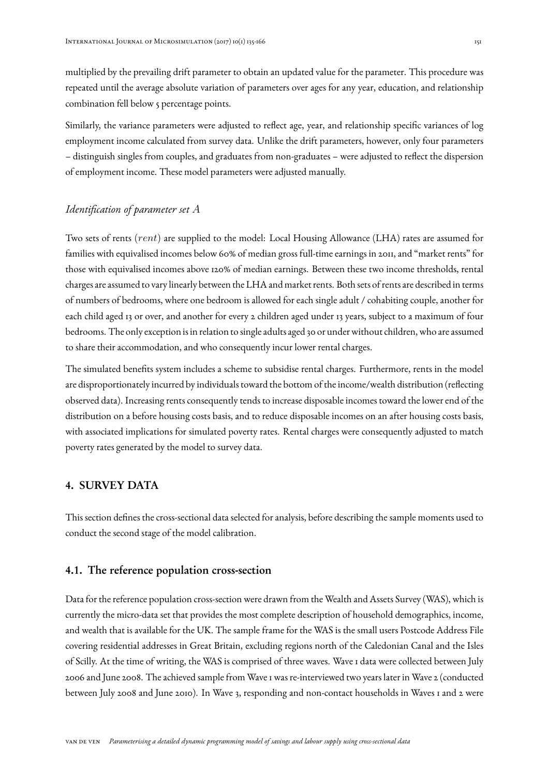multiplied by the prevailing drift parameter to obtain an updated value for the parameter. This procedure was repeated until the average absolute variation of parameters over ages for any year, education, and relationship combination fell below 5 percentage points.

Similarly, the variance parameters were adjusted to reflect age, year, and relationship specific variances of log employment income calculated from survey data. Unlike the drift parameters, however, only four parameters – distinguish singles from couples, and graduates from non-graduates – were adjusted to reflect the dispersion of employment income. These model parameters were adjusted manually.

## *Identification of parameter set* A

Two sets of rents (rent) are supplied to the model: Local Housing Allowance (LHA) rates are assumed for families with equivalised incomes below 60% of median gross full-time earnings in 2011, and "market rents" for those with equivalised incomes above 120% of median earnings. Between these two income thresholds, rental charges are assumed to vary linearly between the LHA and market rents. Both sets of rents are described in terms of numbers of bedrooms, where one bedroom is allowed for each single adult / cohabiting couple, another for each child aged 13 or over, and another for every 2 children aged under 13 years, subject to a maximum of four bedrooms. The only exception is in relation to single adults aged 30 or under without children, who are assumed to share their accommodation, and who consequently incur lower rental charges.

The simulated benefits system includes a scheme to subsidise rental charges. Furthermore, rents in the model are disproportionately incurred by individuals toward the bottom of the income/wealth distribution (reflecting observed data). Increasing rents consequently tends to increase disposable incomes toward the lower end of the distribution on a before housing costs basis, and to reduce disposable incomes on an after housing costs basis, with associated implications for simulated poverty rates. Rental charges were consequently adjusted to match poverty rates generated by the model to survey data.

## <span id="page-16-0"></span>4. SURVEY DATA

This section defines the cross-sectional data selected for analysis, before describing the sample moments used to conduct the second stage of the model calibration.

# 4.1. The reference population cross-section

Data for the reference population cross-section were drawn from the Wealth and Assets Survey (WAS), which is currently the micro-data set that provides the most complete description of household demographics, income, and wealth that is available for the UK. The sample frame for the WAS is the small users Postcode Address File covering residential addresses in Great Britain, excluding regions north of the Caledonian Canal and the Isles of Scilly. At the time of writing, the WAS is comprised of three waves. Wave 1 data were collected between July 2006 and June 2008. The achieved sample from Wave 1 was re-interviewed two years later in Wave 2 (conducted between July 2008 and June 2010). In Wave 3, responding and non-contact households in Waves 1 and 2 were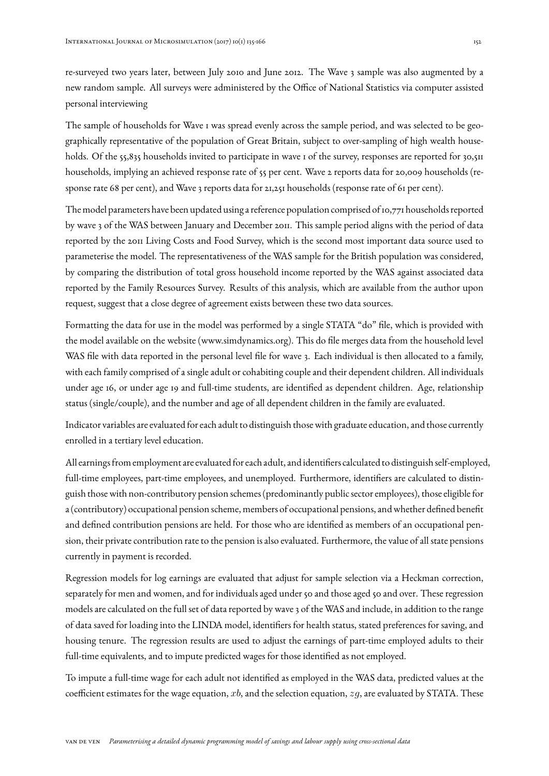re-surveyed two years later, between July 2010 and June 2012. The Wave 3 sample was also augmented by a new random sample. All surveys were administered by the Office of National Statistics via computer assisted personal interviewing

The sample of households for Wave 1 was spread evenly across the sample period, and was selected to be geographically representative of the population of Great Britain, subject to over-sampling of high wealth households. Of the 55,835 households invited to participate in wave 1 of the survey, responses are reported for 30,511 households, implying an achieved response rate of 55 per cent. Wave 2 reports data for 20,009 households (response rate 68 per cent), and Wave 3 reports data for 21,251 households (response rate of 61 per cent).

The model parameters have been updated using a reference population comprised of 10,771 households reported by wave 3 of the WAS between January and December 2011. This sample period aligns with the period of data reported by the 2011 Living Costs and Food Survey, which is the second most important data source used to parameterise the model. The representativeness of the WAS sample for the British population was considered, by comparing the distribution of total gross household income reported by the WAS against associated data reported by the Family Resources Survey. Results of this analysis, which are available from the author upon request, suggest that a close degree of agreement exists between these two data sources.

Formatting the data for use in the model was performed by a single STATA "do" file, which is provided with the model available on the website (www.simdynamics.org). This do file merges data from the household level WAS file with data reported in the personal level file for wave 3. Each individual is then allocated to a family, with each family comprised of a single adult or cohabiting couple and their dependent children. All individuals under age 16, or under age 19 and full-time students, are identified as dependent children. Age, relationship status (single/couple), and the number and age of all dependent children in the family are evaluated.

Indicator variables are evaluated for each adult to distinguish those with graduate education, and those currently enrolled in a tertiary level education.

All earnings from employment are evaluated for each adult, and identifiers calculated to distinguish self-employed, full-time employees, part-time employees, and unemployed. Furthermore, identifiers are calculated to distinguish those with non-contributory pension schemes (predominantly public sector employees), those eligible for a (contributory) occupational pension scheme, members of occupational pensions, and whether defined benefit and defined contribution pensions are held. For those who are identified as members of an occupational pension, their private contribution rate to the pension is also evaluated. Furthermore, the value of all state pensions currently in payment is recorded.

Regression models for log earnings are evaluated that adjust for sample selection via a Heckman correction, separately for men and women, and for individuals aged under 50 and those aged 50 and over. These regression models are calculated on the full set of data reported by wave 3 of the WAS and include, in addition to the range of data saved for loading into the LINDA model, identifiers for health status, stated preferences for saving, and housing tenure. The regression results are used to adjust the earnings of part-time employed adults to their full-time equivalents, and to impute predicted wages for those identified as not employed.

To impute a full-time wage for each adult not identified as employed in the WAS data, predicted values at the coefficient estimates for the wage equation, xb, and the selection equation,  $zg$ , are evaluated by STATA. These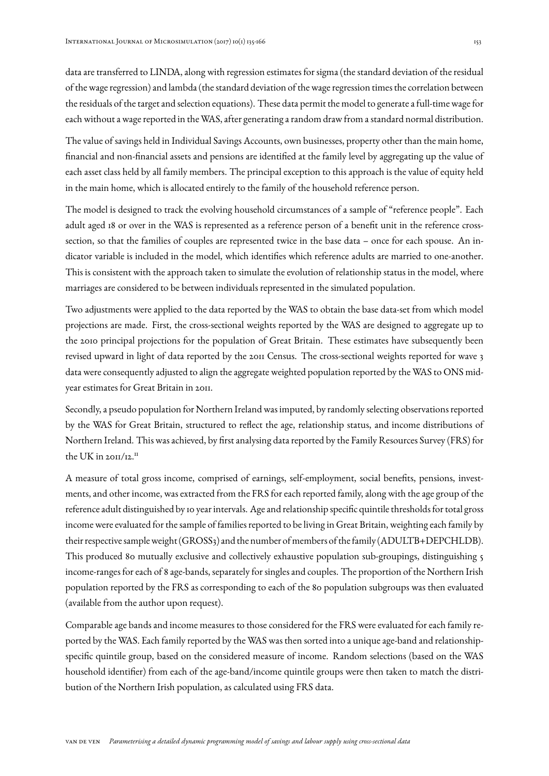data are transferred to LINDA, along with regression estimates for sigma (the standard deviation of the residual of the wage regression) and lambda (the standard deviation of the wage regression times the correlation between the residuals of the target and selection equations). These data permit the model to generate a full-time wage for each without a wage reported in the WAS, after generating a random draw from a standard normal distribution.

The value of savings held in Individual Savings Accounts, own businesses, property other than the main home, financial and non-financial assets and pensions are identified at the family level by aggregating up the value of each asset class held by all family members. The principal exception to this approach is the value of equity held in the main home, which is allocated entirely to the family of the household reference person.

The model is designed to track the evolving household circumstances of a sample of "reference people". Each adult aged 18 or over in the WAS is represented as a reference person of a benefit unit in the reference crosssection, so that the families of couples are represented twice in the base data – once for each spouse. An indicator variable is included in the model, which identifies which reference adults are married to one-another. This is consistent with the approach taken to simulate the evolution of relationship status in the model, where marriages are considered to be between individuals represented in the simulated population.

Two adjustments were applied to the data reported by the WAS to obtain the base data-set from which model projections are made. First, the cross-sectional weights reported by the WAS are designed to aggregate up to the 2010 principal projections for the population of Great Britain. These estimates have subsequently been revised upward in light of data reported by the 2011 Census. The cross-sectional weights reported for wave 3 data were consequently adjusted to align the aggregate weighted population reported by the WAS to ONS midyear estimates for Great Britain in 2011.

Secondly, a pseudo population for Northern Ireland was imputed, by randomly selecting observations reported by the WAS for Great Britain, structured to reflect the age, relationship status, and income distributions of Northern Ireland. This was achieved, by first analysing data reported by the Family Resources Survey (FRS) for the UK in  $20H/I2.<sup>H</sup>$ 

A measure of total gross income, comprised of earnings, self-employment, social benefits, pensions, investments, and other income, was extracted from the FRS for each reported family, along with the age group of the reference adult distinguished by 10 year intervals. Age and relationship specific quintile thresholds for total gross income were evaluated for the sample of families reported to be living in Great Britain, weighting each family by their respective sampleweight (GROSS3) and the number of members of the family (ADULTB+DEPCHLDB). This produced 80 mutually exclusive and collectively exhaustive population sub-groupings, distinguishing 5 income-ranges for each of 8 age-bands, separately for singles and couples. The proportion of the Northern Irish population reported by the FRS as corresponding to each of the 80 population subgroups was then evaluated (available from the author upon request).

Comparable age bands and income measures to those considered for the FRS were evaluated for each family reported by the WAS. Each family reported by the WAS was then sorted into a unique age-band and relationshipspecific quintile group, based on the considered measure of income. Random selections (based on the WAS household identifier) from each of the age-band/income quintile groups were then taken to match the distribution of the Northern Irish population, as calculated using FRS data.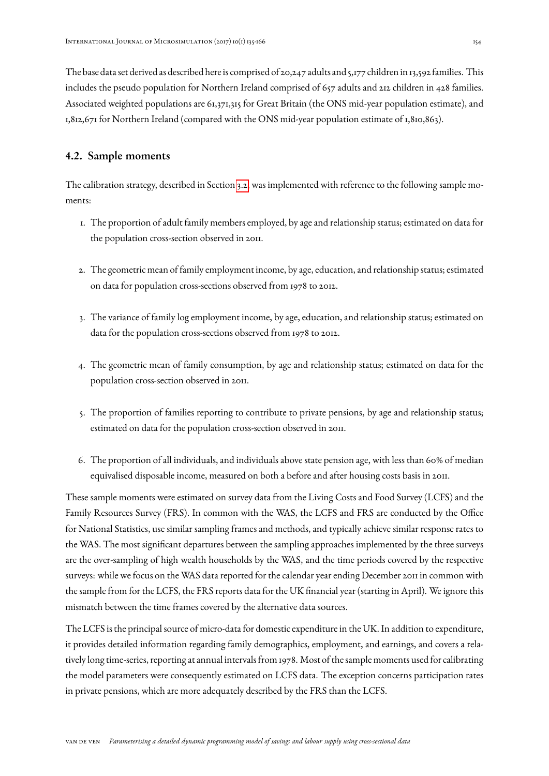The base data set derived as described here is comprised of 20,247 adults and 5,177 children in 13,592 families. This includes the pseudo population for Northern Ireland comprised of 657 adults and 212 children in 428 families. Associated weighted populations are 61,371,315 for Great Britain (the ONS mid-year population estimate), and 1,812,671 for Northern Ireland (compared with the ONS mid-year population estimate of 1,810,863).

# 4.2. Sample moments

The calibration strategy, described in Section [3.2,](#page-12-0) was implemented with reference to the following sample moments:

- 1. The proportion of adult family members employed, by age and relationship status; estimated on data for the population cross-section observed in 2011.
- 2. The geometric mean of family employment income, by age, education, and relationship status; estimated on data for population cross-sections observed from 1978 to 2012.
- 3. The variance of family log employment income, by age, education, and relationship status; estimated on data for the population cross-sections observed from 1978 to 2012.
- 4. The geometric mean of family consumption, by age and relationship status; estimated on data for the population cross-section observed in 2011.
- 5. The proportion of families reporting to contribute to private pensions, by age and relationship status; estimated on data for the population cross-section observed in 2011.
- 6. The proportion of all individuals, and individuals above state pension age, with less than 60% of median equivalised disposable income, measured on both a before and after housing costs basis in 2011.

These sample moments were estimated on survey data from the Living Costs and Food Survey (LCFS) and the Family Resources Survey (FRS). In common with the WAS, the LCFS and FRS are conducted by the Office for National Statistics, use similar sampling frames and methods, and typically achieve similar response rates to the WAS. The most significant departures between the sampling approaches implemented by the three surveys are the over-sampling of high wealth households by the WAS, and the time periods covered by the respective surveys: while we focus on the WAS data reported for the calendar year ending December 2011 in common with the sample from for the LCFS, the FRS reports data for the UK financial year (starting in April). We ignore this mismatch between the time frames covered by the alternative data sources.

The LCFS is the principal source of micro-data for domestic expenditure in the UK. In addition to expenditure, it provides detailed information regarding family demographics, employment, and earnings, and covers a relatively long time-series, reporting at annual intervals from 1978. Most of the sample moments used for calibrating the model parameters were consequently estimated on LCFS data. The exception concerns participation rates in private pensions, which are more adequately described by the FRS than the LCFS.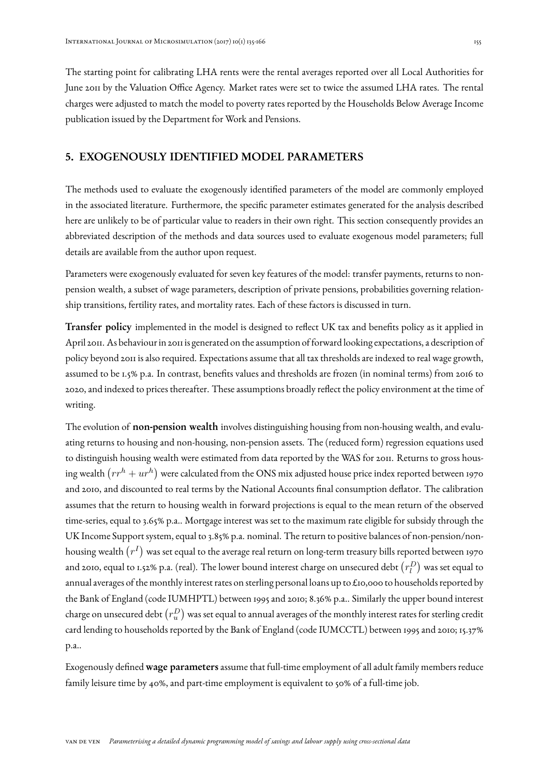The starting point for calibrating LHA rents were the rental averages reported over all Local Authorities for June 2011 by the Valuation Office Agency. Market rates were set to twice the assumed LHA rates. The rental charges were adjusted to match the model to poverty rates reported by the Households Below Average Income publication issued by the Department for Work and Pensions.

# <span id="page-20-0"></span>5. EXOGENOUSLY IDENTIFIED MODEL PARAMETERS

The methods used to evaluate the exogenously identified parameters of the model are commonly employed in the associated literature. Furthermore, the specific parameter estimates generated for the analysis described here are unlikely to be of particular value to readers in their own right. This section consequently provides an abbreviated description of the methods and data sources used to evaluate exogenous model parameters; full details are available from the author upon request.

Parameters were exogenously evaluated for seven key features of the model: transfer payments, returns to nonpension wealth, a subset of wage parameters, description of private pensions, probabilities governing relationship transitions, fertility rates, and mortality rates. Each of these factors is discussed in turn.

Transfer policy implemented in the model is designed to reflect UK tax and benefits policy as it applied in April 2011. As behaviour in 2011 is generated on the assumption of forward looking expectations, a description of policy beyond 2011 is also required. Expectations assume that all tax thresholds are indexed to real wage growth, assumed to be 1.5% p.a. In contrast, benefits values and thresholds are frozen (in nominal terms) from 2016 to 2020, and indexed to prices thereafter. These assumptions broadly reflect the policy environment at the time of writing.

The evolution of **non-pension wealth** involves distinguishing housing from non-housing wealth, and evaluating returns to housing and non-housing, non-pension assets. The (reduced form) regression equations used to distinguish housing wealth were estimated from data reported by the WAS for 2011. Returns to gross housing wealth  $(r r^h + u r^h)$  were calculated from the ONS mix adjusted house price index reported between 1970 and 2010, and discounted to real terms by the National Accounts final consumption deflator. The calibration assumes that the return to housing wealth in forward projections is equal to the mean return of the observed time-series, equal to 3.65% p.a.. Mortgage interest was set to the maximum rate eligible for subsidy through the UK Income Support system, equal to 3.85% p.a. nominal. The return to positive balances of non-pension/nonhousing wealth  $(r^{I})$  was set equal to the average real return on long-term treasury bills reported between 1970 and 2010, equal to 1.52% p.a. (real). The lower bound interest charge on unsecured debt  $\left(r_l^D\right)$  was set equal to annual averages of the monthly interest rates on sterling personal loans up to £10,000 to households reported by the Bank of England (code IUMHPTL) between 1995 and 2010; 8.36% p.a.. Similarly the upper bound interest charge on unsecured debt  $\left(r_u^D\right)$  was set equal to annual averages of the monthly interest rates for sterling credit card lending to households reported by the Bank of England (code IUMCCTL) between 1995 and 2010; 15.37% p.a..

Exogenously defined wage parameters assume that full-time employment of all adult family members reduce family leisure time by 40%, and part-time employment is equivalent to 50% of a full-time job.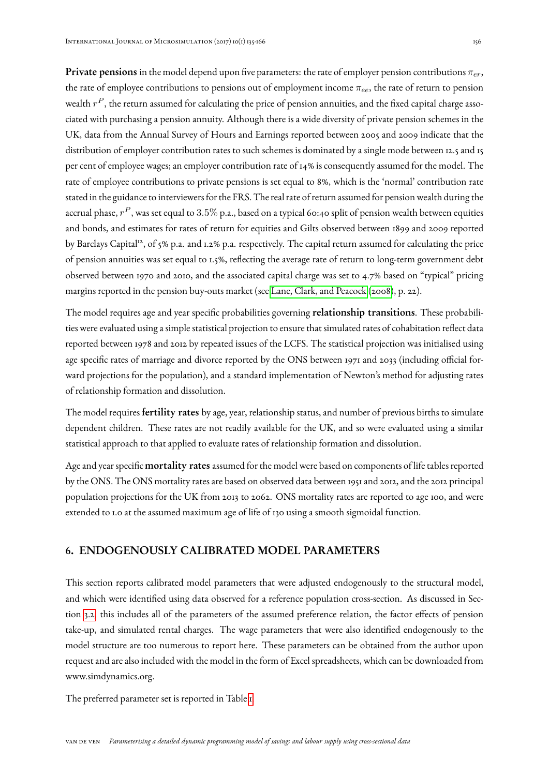**Private pensions** in the model depend upon five parameters: the rate of employer pension contributions  $\pi_{er}$ , the rate of employee contributions to pensions out of employment income  $\pi_{ee}$ , the rate of return to pension wealth  $r^P$ , the return assumed for calculating the price of pension annuities, and the fixed capital charge associated with purchasing a pension annuity. Although there is a wide diversity of private pension schemes in the UK, data from the Annual Survey of Hours and Earnings reported between 2005 and 2009 indicate that the distribution of employer contribution rates to such schemes is dominated by a single mode between 12.5 and 15 per cent of employee wages; an employer contribution rate of 14% is consequently assumed for the model. The rate of employee contributions to private pensions is set equal to 8%, which is the 'normal' contribution rate stated in the guidance to interviewers for the FRS. The real rate of return assumed for pension wealth during the accrual phase,  $r^P$ , was set equal to  $3.5\%$  p.a., based on a typical 60:40 split of pension wealth between equities and bonds, and estimates for rates of return for equities and Gilts observed between 1899 and 2009 reported by Barclays Capital<sup>12</sup>, of 5% p.a. and 1.2% p.a. respectively. The capital return assumed for calculating the price of pension annuities was set equal to 1.5%, reflecting the average rate of return to long-term government debt observed between 1970 and 2010, and the associated capital charge was set to 4.7% based on "typical" pricing margins reported in the pension buy-outs market (see [Lane, Clark, and Peacock](#page-30-7) [\(2008\)](#page-30-7), p. 22).

The model requires age and year specific probabilities governing **relationship transitions**. These probabilities were evaluated using a simple statistical projection to ensure that simulated rates of cohabitation reflect data reported between 1978 and 2012 by repeated issues of the LCFS. The statistical projection was initialised using age specific rates of marriage and divorce reported by the ONS between 1971 and 2033 (including official forward projections for the population), and a standard implementation of Newton's method for adjusting rates of relationship formation and dissolution.

The model requires **fertility rates** by age, year, relationship status, and number of previous births to simulate dependent children. These rates are not readily available for the UK, and so were evaluated using a similar statistical approach to that applied to evaluate rates of relationship formation and dissolution.

Age and year specific **mortality rates** assumed for the model were based on components of life tables reported by the ONS. The ONS mortality rates are based on observed data between 1951 and 2012, and the 2012 principal population projections for the UK from 2013 to 2062. ONS mortality rates are reported to age 100, and were extended to 1.0 at the assumed maximum age of life of 130 using a smooth sigmoidal function.

# <span id="page-21-0"></span>6. ENDOGENOUSLY CALIBRATED MODEL PARAMETERS

This section reports calibrated model parameters that were adjusted endogenously to the structural model, and which were identified using data observed for a reference population cross-section. As discussed in Section [3.2,](#page-12-0) this includes all of the parameters of the assumed preference relation, the factor effects of pension take-up, and simulated rental charges. The wage parameters that were also identified endogenously to the model structure are too numerous to report here. These parameters can be obtained from the author upon request and are also included with the model in the form of Excel spreadsheets, which can be downloaded from www.simdynamics.org.

The preferred parameter set is reported in Table [1.](#page-22-0)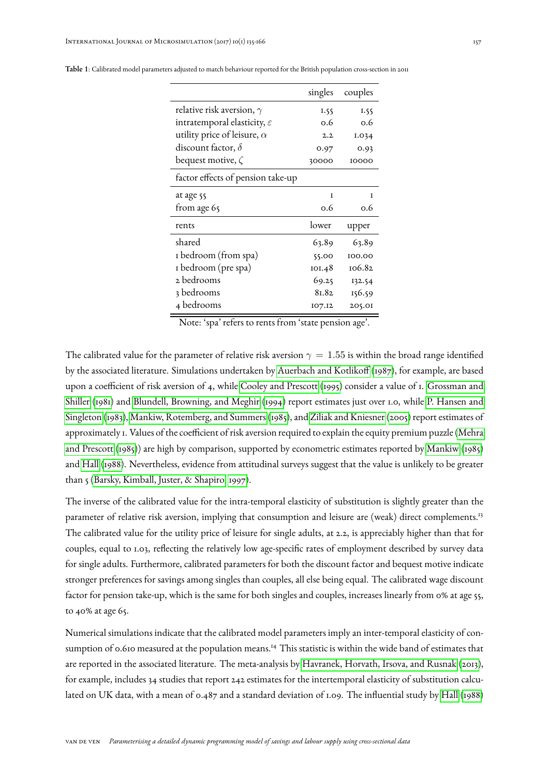|                                         | singles | couples |
|-----------------------------------------|---------|---------|
| relative risk aversion, $\gamma$        | 1.55    | 1.55    |
| intratemporal elasticity, $\varepsilon$ | 0.6     | 0.6     |
| utility price of leisure, $\alpha$      | 2.2     | 1.034   |
| discount factor, $\delta$               | 0.97    | 0.93    |
| bequest motive, $\zeta$                 | 30000   | 10000   |
| factor effects of pension take-up       |         |         |
| at age 55                               | T       | T       |
| from age 65                             | 0.6     | 0.6     |
| rents                                   | lower   | upper   |
| shared                                  | 63.89   | 63.89   |
| I bedroom (from spa)                    | 55.00   | 100.00  |
| I bedroom (pre spa)                     | 101.48  | 106.82  |
| 2 bedrooms                              | 69.25   | 132.54  |
| 3 bedrooms                              | 81.82   | 156.59  |
| 4 bedrooms                              | 107.12  | 205.01  |

<span id="page-22-0"></span>Table 1: Calibrated model parameters adjusted to match behaviour reported for the British population cross-section in 2011

Note: 'spa' refers to rents from 'state pension age'.

The calibrated value for the parameter of relative risk aversion  $\gamma = 1.55$  is within the broad range identified by the associated literature. Simulations undertaken by [Auerbach and Kotlikoff](#page-28-7) [\(1987\)](#page-28-7), for example, are based upon a coefficient of risk aversion of 4, while [Cooley and Prescott](#page-28-8) [\(1995\)](#page-28-8) consider a value of 1. [Grossman and](#page-29-10) [Shiller](#page-29-10) [\(1981\)](#page-29-10) and [Blundell, Browning, and Meghir](#page-28-9) [\(1994\)](#page-28-9) report estimates just over 1.0, while [P. Hansen and](#page-29-11) [Singleton](#page-29-11) [\(1983\)](#page-29-11), [Mankiw, Rotemberg, and Summers](#page-30-8) [\(1985\)](#page-30-8), and [Ziliak and Kniesner](#page-30-9) [\(2005\)](#page-30-9) report estimates of approximately 1. Values of the coefficient of risk aversion required to explain the equity premium puzzle [\(Mehra](#page-30-10) [and Prescott](#page-30-10) [\(1985\)](#page-30-10)) are high by comparison, supported by econometric estimates reported by [Mankiw](#page-30-11) [\(1985\)](#page-30-11) and [Hall](#page-29-12) [\(1988\)](#page-29-12). Nevertheless, evidence from attitudinal surveys suggest that the value is unlikely to be greater than 5 [\(Barsky, Kimball, Juster, & Shapiro, 1997\)](#page-28-10).

The inverse of the calibrated value for the intra-temporal elasticity of substitution is slightly greater than the parameter of relative risk aversion, implying that consumption and leisure are (weak) direct complements.<sup>13</sup> The calibrated value for the utility price of leisure for single adults, at 2.2, is appreciably higher than that for couples, equal to 1.03, reflecting the relatively low age-specific rates of employment described by survey data for single adults. Furthermore, calibrated parameters for both the discount factor and bequest motive indicate stronger preferences for savings among singles than couples, all else being equal. The calibrated wage discount factor for pension take-up, which is the same for both singles and couples, increases linearly from 0% at age 55, to 40% at age 65.

Numerical simulations indicate that the calibrated model parameters imply an inter-temporal elasticity of consumption of 0.610 measured at the population means.<sup>14</sup> This statistic is within the wide band of estimates that are reported in the associated literature. The meta-analysis by [Havranek, Horvath, Irsova, and Rusnak](#page-29-13) [\(2013\)](#page-29-13), for example, includes 34 studies that report 242 estimates for the intertemporal elasticity of substitution calculated on UK data, with a mean of 0.487 and a standard deviation of 1.09. The influential study by [Hall](#page-29-12) [\(1988\)](#page-29-12)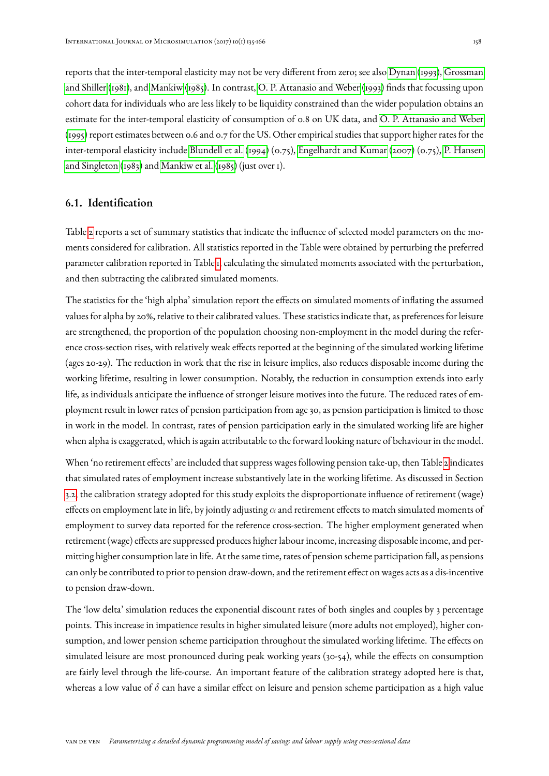reports that the inter-temporal elasticity may not be very different from zero; see also [Dynan](#page-28-11) [\(1993\)](#page-28-11), [Grossman](#page-29-10) [and Shiller](#page-29-10) [\(1981\)](#page-29-10), and [Mankiw](#page-30-11) [\(1985\)](#page-30-11). In contrast, [O. P. Attanasio and Weber](#page-28-12) [\(1993\)](#page-28-12) finds that focussing upon cohort data for individuals who are less likely to be liquidity constrained than the wider population obtains an estimate for the inter-temporal elasticity of consumption of 0.8 on UK data, and [O. P. Attanasio and Weber](#page-28-13) [\(1995\)](#page-28-13) report estimates between 0.6 and 0.7 for the US. Other empirical studies that support higher rates for the inter-temporal elasticity include [Blundell et al.](#page-28-9) [\(1994\)](#page-28-9) (0.75), [Engelhardt and Kumar](#page-28-14) [\(2007\)](#page-28-14) (0.75), [P. Hansen](#page-29-11) [and Singleton](#page-29-11) [\(1983\)](#page-29-11) and [Mankiw et al.](#page-30-8) [\(1985\)](#page-30-8) (just over 1).

# <span id="page-23-0"></span>6.1. Identification

Table [2](#page-26-0) reports a set of summary statistics that indicate the influence of selected model parameters on the moments considered for calibration. All statistics reported in the Table were obtained by perturbing the preferred parameter calibration reported in Table [1,](#page-22-0) calculating the simulated moments associated with the perturbation, and then subtracting the calibrated simulated moments.

The statistics for the 'high alpha' simulation report the effects on simulated moments of inflating the assumed values for alpha by 20%, relative to their calibrated values. These statistics indicate that, as preferences for leisure are strengthened, the proportion of the population choosing non-employment in the model during the reference cross-section rises, with relatively weak effects reported at the beginning of the simulated working lifetime (ages 20-29). The reduction in work that the rise in leisure implies, also reduces disposable income during the working lifetime, resulting in lower consumption. Notably, the reduction in consumption extends into early life, as individuals anticipate the influence of stronger leisure motives into the future. The reduced rates of employment result in lower rates of pension participation from age 30, as pension participation is limited to those in work in the model. In contrast, rates of pension participation early in the simulated working life are higher when alpha is exaggerated, which is again attributable to the forward looking nature of behaviour in the model.

When 'no retirement effects' are included that suppress wages following pension take-up, then Table [2](#page-26-0) indicates that simulated rates of employment increase substantively late in the working lifetime. As discussed in Section [3.2,](#page-12-0) the calibration strategy adopted for this study exploits the disproportionate influence of retirement (wage) effects on employment late in life, by jointly adjusting  $\alpha$  and retirement effects to match simulated moments of employment to survey data reported for the reference cross-section. The higher employment generated when retirement (wage) effects are suppressed produces higher labour income, increasing disposable income, and permitting higher consumption late in life. At the same time, rates of pension scheme participation fall, as pensions can only be contributed to prior to pension draw-down, and the retirement effect on wages acts as a dis-incentive to pension draw-down.

The 'low delta' simulation reduces the exponential discount rates of both singles and couples by 3 percentage points. This increase in impatience results in higher simulated leisure (more adults not employed), higher consumption, and lower pension scheme participation throughout the simulated working lifetime. The effects on simulated leisure are most pronounced during peak working years (30-54), while the effects on consumption are fairly level through the life-course. An important feature of the calibration strategy adopted here is that, whereas a low value of  $\delta$  can have a similar effect on leisure and pension scheme participation as a high value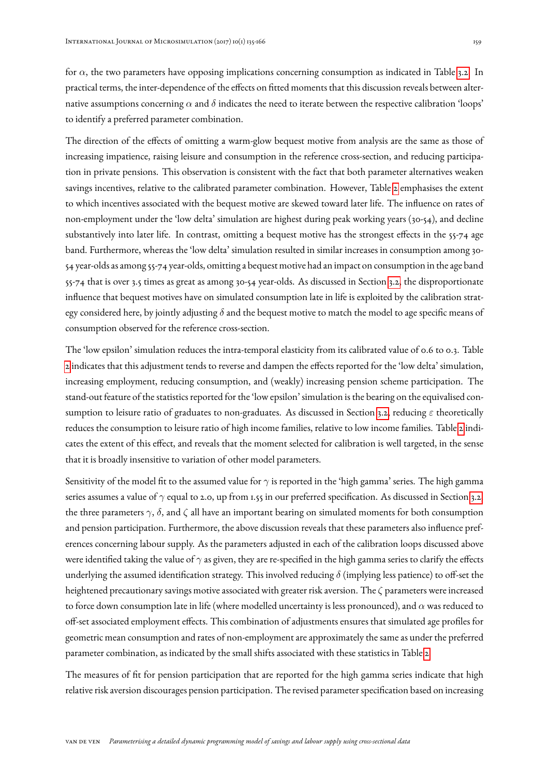for  $\alpha$ , the two parameters have opposing implications concerning consumption as indicated in Table [3.2.](#page-12-0) In practical terms, the inter-dependence of the effects on fitted moments that this discussion reveals between alternative assumptions concerning  $\alpha$  and  $\delta$  indicates the need to iterate between the respective calibration 'loops' to identify a preferred parameter combination.

The direction of the effects of omitting a warm-glow bequest motive from analysis are the same as those of increasing impatience, raising leisure and consumption in the reference cross-section, and reducing participation in private pensions. This observation is consistent with the fact that both parameter alternatives weaken savings incentives, relative to the calibrated parameter combination. However, Table [2](#page-26-0) emphasises the extent to which incentives associated with the bequest motive are skewed toward later life. The influence on rates of non-employment under the 'low delta' simulation are highest during peak working years (30-54), and decline substantively into later life. In contrast, omitting a bequest motive has the strongest effects in the 55-74 age band. Furthermore, whereas the 'low delta' simulation resulted in similar increases in consumption among 30- 54 year-olds as among 55-74 year-olds, omitting a bequest motive had an impact on consumption in the age band 55-74 that is over 3.5 times as great as among 30-54 year-olds. As discussed in Section [3.2,](#page-12-0) the disproportionate influence that bequest motives have on simulated consumption late in life is exploited by the calibration strategy considered here, by jointly adjusting  $\delta$  and the bequest motive to match the model to age specific means of consumption observed for the reference cross-section.

The 'low epsilon' simulation reduces the intra-temporal elasticity from its calibrated value of 0.6 to 0.3. Table [2](#page-26-0) indicates that this adjustment tends to reverse and dampen the effects reported for the 'low delta' simulation, increasing employment, reducing consumption, and (weakly) increasing pension scheme participation. The stand-out feature of the statistics reported for the 'low epsilon' simulation is the bearing on the equivalised con-sumption to leisure ratio of graduates to non-graduates. As discussed in Section [3.2,](#page-12-0) reducing  $\varepsilon$  theoretically reduces the consumption to leisure ratio of high income families, relative to low income families. Table [2](#page-26-0) indicates the extent of this effect, and reveals that the moment selected for calibration is well targeted, in the sense that it is broadly insensitive to variation of other model parameters.

Sensitivity of the model fit to the assumed value for  $\gamma$  is reported in the 'high gamma' series. The high gamma series assumes a value of  $\gamma$  equal to 2.0, up from 1.55 in our preferred specification. As discussed in Section [3.2,](#page-12-0) the three parameters  $\gamma$ ,  $\delta$ , and  $\zeta$  all have an important bearing on simulated moments for both consumption and pension participation. Furthermore, the above discussion reveals that these parameters also influence preferences concerning labour supply. As the parameters adjusted in each of the calibration loops discussed above were identified taking the value of  $\gamma$  as given, they are re-specified in the high gamma series to clarify the effects underlying the assumed identification strategy. This involved reducing  $\delta$  (implying less patience) to off-set the heightened precautionary savings motive associated with greater risk aversion. The ζ parameters were increased to force down consumption late in life (where modelled uncertainty is less pronounced), and  $\alpha$  was reduced to off-set associated employment effects. This combination of adjustments ensures that simulated age profiles for geometric mean consumption and rates of non-employment are approximately the same as under the preferred parameter combination, as indicated by the small shifts associated with these statistics in Table [2.](#page-26-0)

The measures of fit for pension participation that are reported for the high gamma series indicate that high relative risk aversion discourages pension participation. The revised parameter specification based on increasing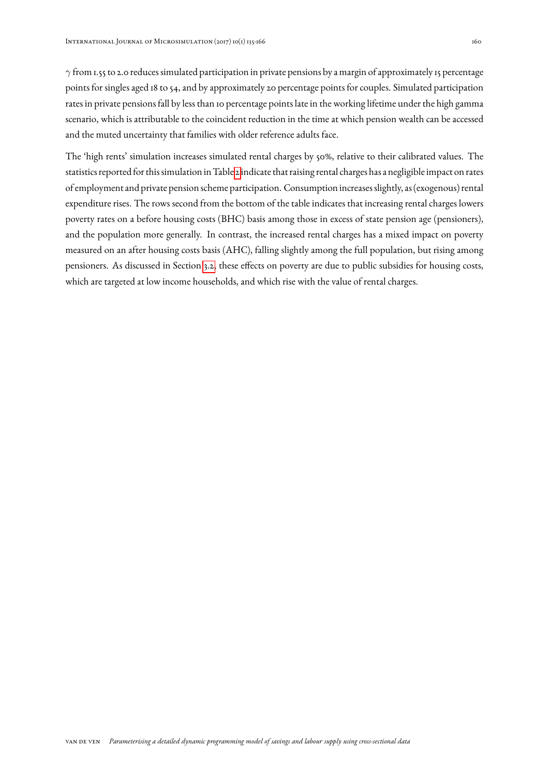$\gamma$  from 1.55 to 2.0 reduces simulated participation in private pensions by a margin of approximately 15 percentage points for singles aged 18 to 54, and by approximately 20 percentage points for couples. Simulated participation rates in private pensions fall by less than 10 percentage points late in the working lifetime under the high gamma scenario, which is attributable to the coincident reduction in the time at which pension wealth can be accessed and the muted uncertainty that families with older reference adults face.

The 'high rents' simulation increases simulated rental charges by 50%, relative to their calibrated values. The statistics reported for this simulation in Table [2](#page-26-0) indicate that raising rental charges has a negligible impact on rates of employment and private pension scheme participation. Consumption increases slightly, as (exogenous) rental expenditure rises. The rows second from the bottom of the table indicates that increasing rental charges lowers poverty rates on a before housing costs (BHC) basis among those in excess of state pension age (pensioners), and the population more generally. In contrast, the increased rental charges has a mixed impact on poverty measured on an after housing costs basis (AHC), falling slightly among the full population, but rising among pensioners. As discussed in Section [3.2,](#page-12-0) these effects on poverty are due to public subsidies for housing costs, which are targeted at low income households, and which rise with the value of rental charges.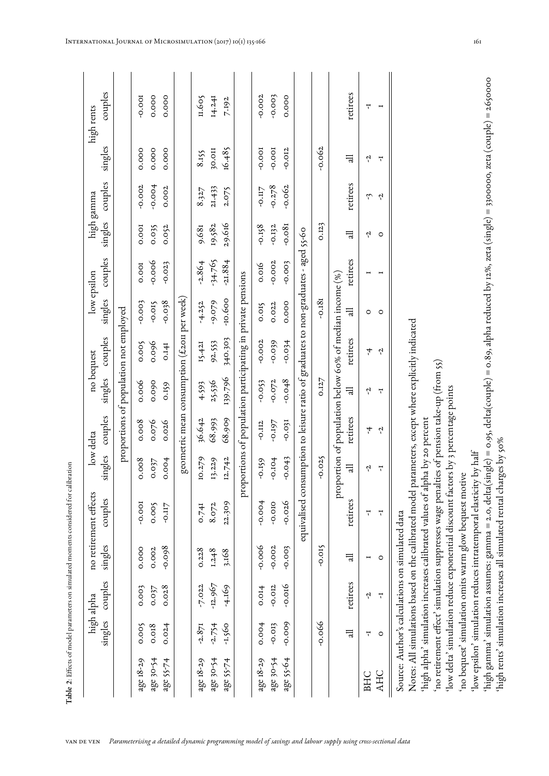|           |           | high alpha              |                                                 | no retirement effects                                                                                                                       |                | low delta |          | no bequest                                                          |           | low epsilon |          | high gamma |                    | high rents                                                                                                                                                       |
|-----------|-----------|-------------------------|-------------------------------------------------|---------------------------------------------------------------------------------------------------------------------------------------------|----------------|-----------|----------|---------------------------------------------------------------------|-----------|-------------|----------|------------|--------------------|------------------------------------------------------------------------------------------------------------------------------------------------------------------|
|           | singles   | couples                 | singles                                         | couples                                                                                                                                     | singles        | couples   | singles  | couples                                                             | singles   | couples     | singles  | couples    | singles            | couples                                                                                                                                                          |
|           |           |                         |                                                 |                                                                                                                                             |                |           |          | proportions of population not employed                              |           |             |          |            |                    |                                                                                                                                                                  |
| age 18-29 | 0.005     | 0.003                   | 0.000                                           | $-0.001$                                                                                                                                    | 0.008          | 0.008     | 0.006    | 0.005                                                               | $-0.003$  | 0.001       | 0.001    | $-0.002$   | 0.000              | $-0.001$                                                                                                                                                         |
| age 30-54 | 0.018     | 0.037                   | 0.002                                           | 0.005                                                                                                                                       | 0.037          | 0.076     | 0.090    | 0.096                                                               | $-0.015$  | $-0.006$    | 0.035    | $-0.004$   | 0.000              | 0.000                                                                                                                                                            |
| age 55-74 | 0.024     | 0.028                   | $-0.098$                                        | -0.II7                                                                                                                                      | 0.004          | 0.026     | 0.159    | 0.141                                                               | $860.0$ - | $-0.023$    | 0.052    | 0.002      | 0.000              | 0.000                                                                                                                                                            |
|           |           |                         |                                                 |                                                                                                                                             |                |           |          | geometric mean consumption (£2011 per week)                         |           |             |          |            |                    |                                                                                                                                                                  |
| age 18-29 | $-2.871$  | $-7.022$                | 0.228                                           | 0.741                                                                                                                                       | 10.279         | 36.642    | 4.593    | 15.421                                                              | $-4.252$  | $-2.864$    | 9.681    | 8.327      | 8.15               | 11.605                                                                                                                                                           |
| age 30-54 | $-2.754$  | $-12.967$               | 1.248                                           | 8.072                                                                                                                                       | 13.229         | 68.993    | 25.536   | 92.553                                                              | -9.079    | $-34.765$   | 19.582   | 21.433     | 30.0 <sub>II</sub> | 14.241                                                                                                                                                           |
| age 55-74 | $-1.560$  | $-4.169$                | 3.168                                           | 22.309                                                                                                                                      | 12.742         | 68.909    | 139.796  | 340.303                                                             | -10.600   | $-21.884$   | 29.616   | 2.075      | 16.485             | 7.192                                                                                                                                                            |
|           |           |                         |                                                 |                                                                                                                                             |                |           |          | proportions of population participating in private pensions         |           |             |          |            |                    |                                                                                                                                                                  |
| age 18-29 | 0.004     | 0.014                   | $-0.006$                                        | $-0.004$                                                                                                                                    | -0.159         | $-0.112$  | $-0.053$ | $-0.002$                                                            | 0.015     | 0.016       | $-0.158$ | -0.II7     | $-0.001$           | $-0.002$                                                                                                                                                         |
| age 30-54 | $-0.013$  | $-0.012$                | $-0.002$                                        | $-0.010$                                                                                                                                    | $-0.104$       | -0.197    | $-0.072$ | $-0.039$                                                            | 0.022     | $-0.002$    | $-0.132$ | $-0.278$   | $-0.001$           | $-0.003$                                                                                                                                                         |
| age 55-64 | $-0.009$  | $-0.016$                | $-0.003$                                        | $-0.026$                                                                                                                                    | $-0.043$       | $-0.031$  | $-0.048$ | $-0.034$                                                            | 0.000     | $-0.003$    | $-0.081$ | $-0.062$   | $-0.012$           | 0.000                                                                                                                                                            |
|           |           |                         |                                                 | equivalised consumption to leisure ratio of graduates to non-graduates - aged 55-60                                                         |                |           |          |                                                                     |           |             |          |            |                    |                                                                                                                                                                  |
|           | $-0.066$  |                         | $-0.015$                                        |                                                                                                                                             | $-0.025$       |           | 0.127    |                                                                     | $-0.181$  |             | 0.123    |            | $-0.062$           |                                                                                                                                                                  |
|           | $\exists$ | retirees                | $\exists$                                       | retirees                                                                                                                                    | 금              | retirees  | ਜ਼       | proportion of population below 60% of median income (%)<br>retirees | न्तु      | retirees    | に        | retirees   | 급                  | retirees                                                                                                                                                         |
| BHC       | 7         | Ļ                       | I                                               | 7                                                                                                                                           | Ļ              | 4         | Ļ        | 4                                                                   | 0         |             | Ļ        | لى         | Ļ                  | 7                                                                                                                                                                |
| AHC       | $\circ$   | $\overline{\mathbf{r}}$ | $\circ$                                         | $\overline{\mathbf{r}}$                                                                                                                     | $\overline{r}$ | Ļ,        | 7        | Ļ,                                                                  | $\circ$   | I           | $\circ$  | Ļ,         | $\overline{I}$     | $\blacksquare$                                                                                                                                                   |
|           |           |                         | Source: Author's calculations on simulated data |                                                                                                                                             |                |           |          |                                                                     |           |             |          |            |                    |                                                                                                                                                                  |
|           |           |                         |                                                 | 'high alpha' simulation increases calibrated values of alpha by 20 percent<br>Notes: All simulations based on the calibrated model          |                |           |          | parameters, except where explicitly indicated                       |           |             |          |            |                    |                                                                                                                                                                  |
|           |           |                         |                                                 | 'no retirement effect' simulation suppresses wage penalties of pension take-up (from 55)                                                    |                |           |          |                                                                     |           |             |          |            |                    |                                                                                                                                                                  |
|           |           |                         |                                                 | 'low delta' simulation reduce exponential discount factors by 3 percentage points<br>'no bequest' simulation omits warm glow bequest motive |                |           |          |                                                                     |           |             |          |            |                    |                                                                                                                                                                  |
|           |           |                         |                                                 | 'low epsilon' simulation reduces intratemporal elasticity by half                                                                           |                |           |          |                                                                     |           |             |          |            |                    |                                                                                                                                                                  |
|           |           |                         |                                                 |                                                                                                                                             |                |           |          |                                                                     |           |             |          |            |                    | 'high gamma' simulation assumes: gamma = 2.0, delta(single) = 0.95, delta(couple) = 0.89, alpha reduced by 12%, zeta (single) = 3300000, zeta (couple) = 2650000 |
|           |           |                         |                                                 | high rents' simulation increases all simulated rental charges by 50%                                                                        |                |           |          |                                                                     |           |             |          |            |                    |                                                                                                                                                                  |

<span id="page-26-0"></span>

'high rents' simulation increases all simulated rental charges by 50%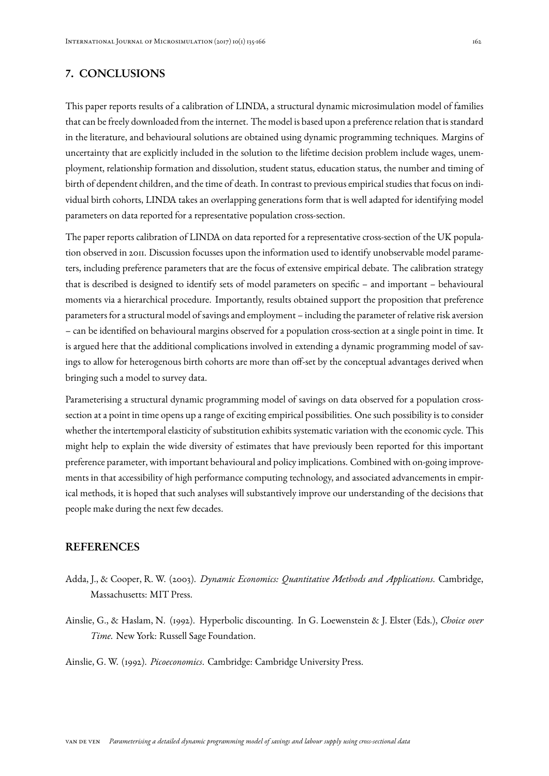# 7. CONCLUSIONS

This paper reports results of a calibration of LINDA, a structural dynamic microsimulation model of families that can be freely downloaded from the internet. The model is based upon a preference relation that is standard in the literature, and behavioural solutions are obtained using dynamic programming techniques. Margins of uncertainty that are explicitly included in the solution to the lifetime decision problem include wages, unemployment, relationship formation and dissolution, student status, education status, the number and timing of birth of dependent children, and the time of death. In contrast to previous empirical studies that focus on individual birth cohorts, LINDA takes an overlapping generations form that is well adapted for identifying model parameters on data reported for a representative population cross-section.

The paper reports calibration of LINDA on data reported for a representative cross-section of the UK population observed in 2011. Discussion focusses upon the information used to identify unobservable model parameters, including preference parameters that are the focus of extensive empirical debate. The calibration strategy that is described is designed to identify sets of model parameters on specific – and important – behavioural moments via a hierarchical procedure. Importantly, results obtained support the proposition that preference parameters for a structural model of savings and employment – including the parameter of relative risk aversion – can be identified on behavioural margins observed for a population cross-section at a single point in time. It is argued here that the additional complications involved in extending a dynamic programming model of savings to allow for heterogenous birth cohorts are more than off-set by the conceptual advantages derived when bringing such a model to survey data.

Parameterising a structural dynamic programming model of savings on data observed for a population crosssection at a point in time opens up a range of exciting empirical possibilities. One such possibility is to consider whether the intertemporal elasticity of substitution exhibits systematic variation with the economic cycle. This might help to explain the wide diversity of estimates that have previously been reported for this important preference parameter, with important behavioural and policy implications. Combined with on-going improvements in that accessibility of high performance computing technology, and associated advancements in empirical methods, it is hoped that such analyses will substantively improve our understanding of the decisions that people make during the next few decades.

#### REFERENCES

- <span id="page-27-2"></span>Adda, J., & Cooper, R. W. (2003). *Dynamic Economics: Quantitative Methods and Applications*. Cambridge, Massachusetts: MIT Press.
- <span id="page-27-0"></span>Ainslie, G., & Haslam, N. (1992). Hyperbolic discounting. In G. Loewenstein & J. Elster (Eds.), *Choice over Time.* New York: Russell Sage Foundation.

<span id="page-27-1"></span>Ainslie, G. W. (1992). *Picoeconomics*. Cambridge: Cambridge University Press.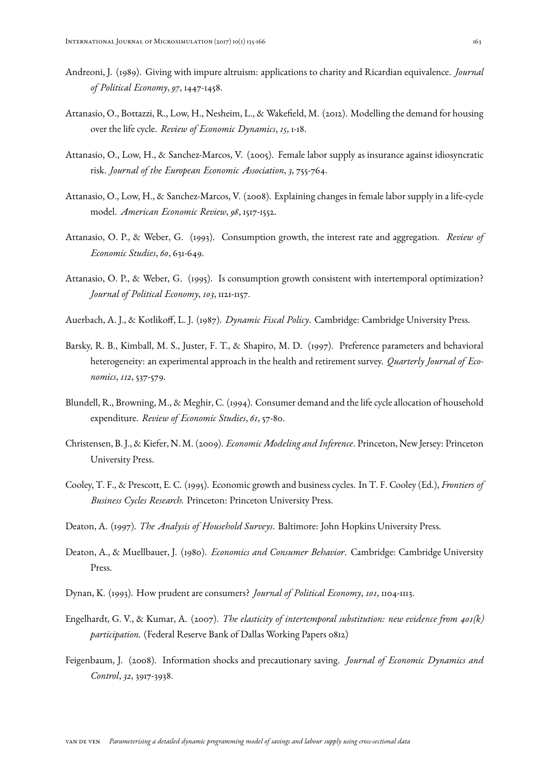- <span id="page-28-15"></span>Andreoni, J. (1989). Giving with impure altruism: applications to charity and Ricardian equivalence. *Journal of Political Economy*, *97*, 1447-1458.
- <span id="page-28-5"></span>Attanasio, O., Bottazzi, R., Low, H., Nesheim, L., & Wakefield, M. (2012). Modelling the demand for housing over the life cycle. *Review of Economic Dynamics*, *15*, 1-18.
- <span id="page-28-0"></span>Attanasio, O., Low, H., & Sanchez-Marcos, V. (2005). Female labor supply as insurance against idiosyncratic risk. *Journal of the European Economic Association*, *3*, 755-764.
- <span id="page-28-1"></span>Attanasio, O., Low, H., & Sanchez-Marcos, V. (2008). Explaining changes in female labor supply in a life-cycle model. *American Economic Review*, *98*, 1517-1552.
- <span id="page-28-12"></span>Attanasio, O. P., & Weber, G. (1993). Consumption growth, the interest rate and aggregation. *Review of Economic Studies*, *60*, 631-649.
- <span id="page-28-13"></span>Attanasio, O. P., & Weber, G. (1995). Is consumption growth consistent with intertemporal optimization? *Journal of Political Economy*, *103*, 1121-1157.
- <span id="page-28-7"></span>Auerbach, A. J., & Kotlikoff, L. J. (1987). *Dynamic Fiscal Policy*. Cambridge: Cambridge University Press.
- <span id="page-28-10"></span>Barsky, R. B., Kimball, M. S., Juster, F. T., & Shapiro, M. D. (1997). Preference parameters and behavioral heterogeneity: an experimental approach in the health and retirement survey. *Quarterly Journal of Economics*, *112*, 537-579.
- <span id="page-28-9"></span>Blundell, R., Browning, M., & Meghir, C. (1994). Consumer demand and the life cycle allocation of household expenditure. *Review of Economic Studies*, *61*, 57-80.
- <span id="page-28-6"></span>Christensen, B. J., & Kiefer, N. M. (2009). *Economic Modeling and Inference*. Princeton, New Jersey: Princeton University Press.
- <span id="page-28-8"></span>Cooley, T. F., & Prescott, E. C. (1995). Economic growth and business cycles. In T. F. Cooley (Ed.), *Frontiers of Business Cycles Research.* Princeton: Princeton University Press.
- <span id="page-28-2"></span>Deaton, A. (1997). *The Analysis of Household Surveys*. Baltimore: John Hopkins University Press.
- <span id="page-28-4"></span>Deaton, A., & Muellbauer, J. (1980). *Economics and Consumer Behavior*. Cambridge: Cambridge University Press.
- <span id="page-28-11"></span>Dynan, K. (1993). How prudent are consumers? *Journal of Political Economy*, *101*, 1104-1113.
- <span id="page-28-14"></span>Engelhardt, G. V., & Kumar, A. (2007). *The elasticity of intertemporal substitution: new evidence from 401(k) participation.* (Federal Reserve Bank of Dallas Working Papers 0812)
- <span id="page-28-3"></span>Feigenbaum, J. (2008). Information shocks and precautionary saving. *Journal of Economic Dynamics and Control*, *32*, 3917-3938.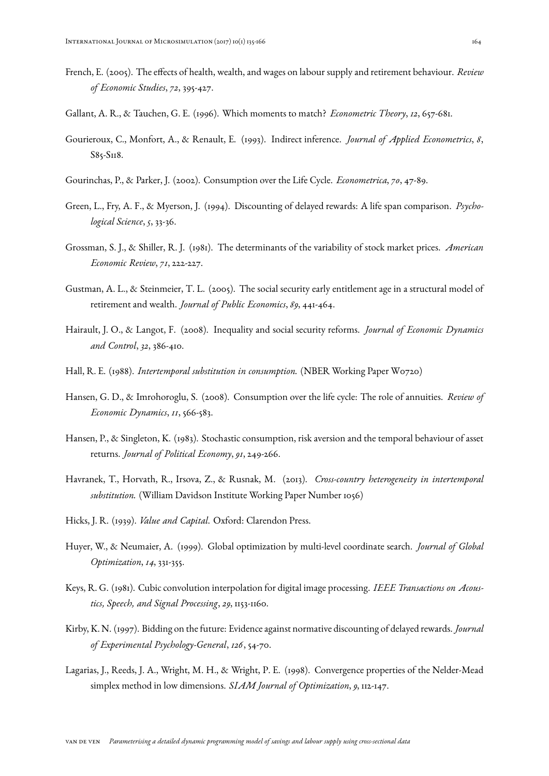- <span id="page-29-14"></span>French, E. (2005). The effects of health, wealth, and wages on labour supply and retirement behaviour. *Review of Economic Studies*, *72*, 395-427.
- <span id="page-29-16"></span>Gallant, A. R., & Tauchen, G. E. (1996). Which moments to match? *Econometric Theory*, *12*, 657-681.
- <span id="page-29-15"></span>Gourieroux, C., Monfort, A., & Renault, E. (1993). Indirect inference. *Journal of Applied Econometrics*, *8*, S85-S118.
- <span id="page-29-0"></span>Gourinchas, P., & Parker, J. (2002). Consumption over the Life Cycle. *Econometrica*, *70*, 47-89.
- <span id="page-29-5"></span>Green, L., Fry, A. F., & Myerson, J. (1994). Discounting of delayed rewards: A life span comparison. *Psychological Science*, *5*, 33-36.
- <span id="page-29-10"></span>Grossman, S. J., & Shiller, R. J. (1981). The determinants of the variability of stock market prices. *American Economic Review*, *71*, 222-227.
- <span id="page-29-4"></span>Gustman, A. L., & Steinmeier, T. L. (2005). The social security early entitlement age in a structural model of retirement and wealth. *Journal of Public Economics*, *89*, 441-464.
- <span id="page-29-2"></span>Hairault, J. O., & Langot, F. (2008). Inequality and social security reforms. *Journal of Economic Dynamics and Control*, *32*, 386-410.
- <span id="page-29-12"></span>Hall, R. E. (1988). *Intertemporal substitution in consumption.* (NBER Working Paper W0720)
- <span id="page-29-1"></span>Hansen, G. D., & Imrohoroglu, S. (2008). Consumption over the life cycle: The role of annuities. *Review of Economic Dynamics*, *11*, 566-583.
- <span id="page-29-11"></span>Hansen, P., & Singleton, K. (1983). Stochastic consumption, risk aversion and the temporal behaviour of asset returns. *Journal of Political Economy*, *91*, 249-266.
- <span id="page-29-13"></span>Havranek, T., Horvath, R., Irsova, Z., & Rusnak, M. (2013). *Cross-country heterogeneity in intertemporal substitution.* (William Davidson Institute Working Paper Number 1056)
- <span id="page-29-3"></span>Hicks, J. R. (1939). *Value and Capital*. Oxford: Clarendon Press.
- <span id="page-29-9"></span>Huyer, W., & Neumaier, A. (1999). Global optimization by multi-level coordinate search. *Journal of Global Optimization*, *14*, 331-355.
- <span id="page-29-7"></span>Keys, R. G. (1981). Cubic convolution interpolation for digital image processing. *IEEE Transactions on Acoustics, Speech, and Signal Processing*, *29*, 1153-1160.
- <span id="page-29-6"></span>Kirby, K. N. (1997). Bidding on the future: Evidence against normative discounting of delayed rewards. *Journal of Experimental Psychology-General*, *126*, 54-70.
- <span id="page-29-8"></span>Lagarias, J., Reeds, J. A., Wright, M. H., & Wright, P. E. (1998). Convergence properties of the Nelder-Mead simplex method in low dimensions. *SIAM Journal of Optimization*, *9*, 112-147.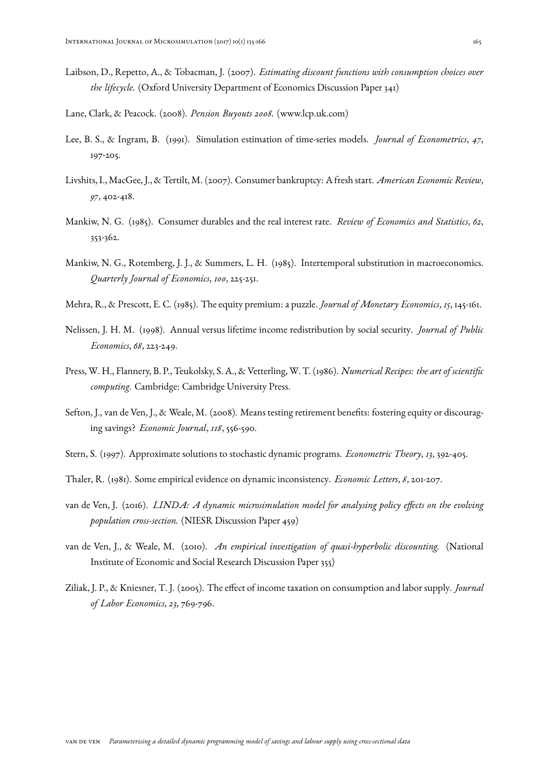- <span id="page-30-5"></span>Laibson, D., Repetto, A., & Tobacman, J. (2007). *Estimating discount functions with consumption choices over the lifecycle.* (Oxford University Department of Economics Discussion Paper 341)
- <span id="page-30-7"></span>Lane, Clark, & Peacock. (2008). *Pension Buyouts 2008.* (www.lcp.uk.com)
- <span id="page-30-13"></span>Lee, B. S., & Ingram, B. (1991). Simulation estimation of time-series models. *Journal of Econometrics*, *47*, 197-205.
- <span id="page-30-2"></span>Livshits, I., MacGee, J., & Tertilt, M. (2007). Consumer bankruptcy: A fresh start. *American Economic Review*, *97*, 402-418.
- <span id="page-30-11"></span>Mankiw, N. G. (1985). Consumer durables and the real interest rate. *Review of Economics and Statistics*, *62*, 353-362.
- <span id="page-30-8"></span>Mankiw, N. G., Rotemberg, J. J., & Summers, L. H. (1985). Intertemporal substitution in macroeconomics. *Quarterly Journal of Economics*, *100*, 225-251.
- <span id="page-30-10"></span>Mehra, R., & Prescott, E. C. (1985). The equity premium: a puzzle. *Journal of Monetary Economics*, *15*, 145-161.
- <span id="page-30-12"></span>Nelissen, J. H. M. (1998). Annual versus lifetime income redistribution by social security. *Journal of Public Economics*, *68*, 223-249.
- <span id="page-30-6"></span>Press, W. H., Flannery, B. P., Teukolsky, S. A., & Vetterling, W. T. (1986). *Numerical Recipes: the art of scientific computing*. Cambridge: Cambridge University Press.
- <span id="page-30-0"></span>Sefton, J., van de Ven, J., & Weale, M. (2008). Means testing retirement benefits: fostering equity or discouraging savings? *Economic Journal*, *118*, 556-590.
- <span id="page-30-14"></span>Stern, S. (1997). Approximate solutions to stochastic dynamic programs. *Econometric Theory*, *13*, 392-405.
- <span id="page-30-4"></span>Thaler, R. (1981). Some empirical evidence on dynamic inconsistency. *Economic Letters*, *8*, 201-207.
- <span id="page-30-3"></span>van de Ven, J. (2016). *LINDA: A dynamic microsimulation model for analysing policy effects on the evolving population cross-section.* (NIESR Discussion Paper 459)
- <span id="page-30-1"></span>van de Ven, J., & Weale, M. (2010). *An empirical investigation of quasi-hyperbolic discounting.* (National Institute of Economic and Social Research Discussion Paper 355)
- <span id="page-30-9"></span>Ziliak, J. P., & Kniesner, T. J. (2005). The effect of income taxation on consumption and labor supply. *Journal of Labor Economics*, *23*, 769-796.